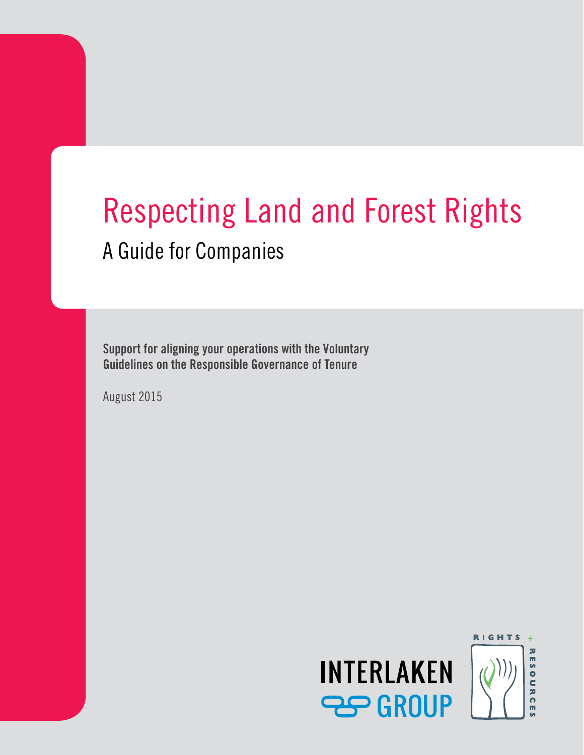# Respecting Land and Forest Rights A Guide for Companies

**Support for aligning your operations with the Voluntary Guidelines on the Responsible Governance of Tenure**

August 2015

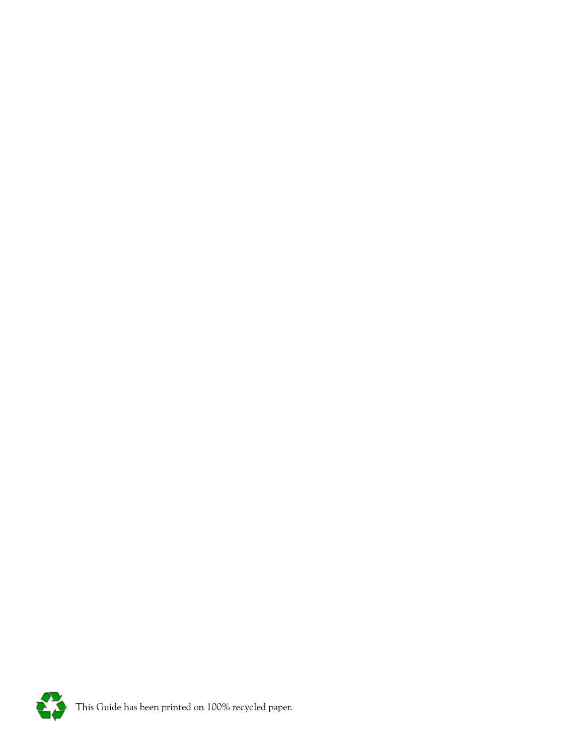

This Guide has been printed on 100% recycled paper.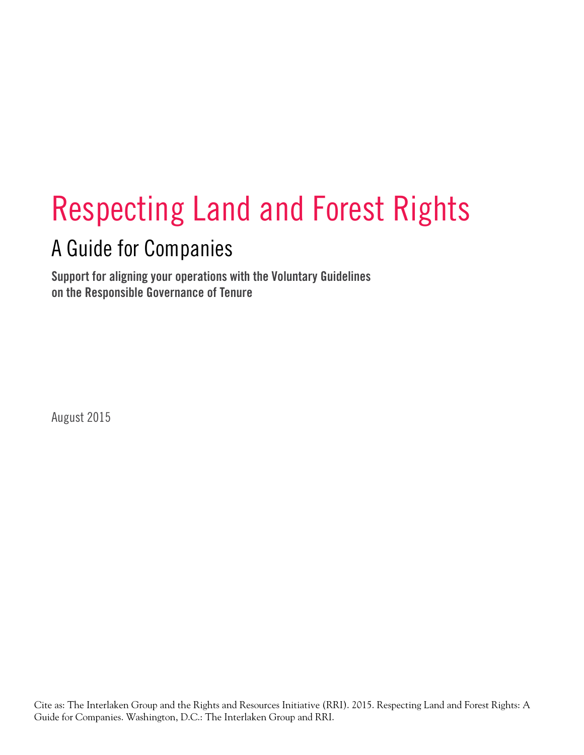# Respecting Land and Forest Rights

# A Guide for Companies

**Support for aligning your operations with the Voluntary Guidelines on the Responsible Governance of Tenure**

August 2015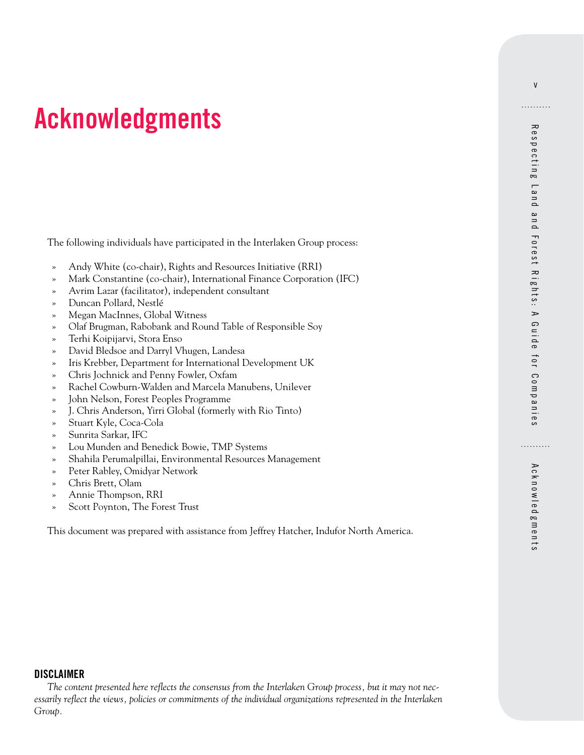# <span id="page-4-0"></span>**Acknowledgments**

The following individuals have participated in the Interlaken Group process:

- » Andy White (co-chair), Rights and Resources Initiative (RRI)
- » Mark Constantine (co-chair), International Finance Corporation (IFC)
- » Avrim Lazar (facilitator), independent consultant
- » Duncan Pollard, Nestlé
- » Megan MacInnes, Global Witness
- » Olaf Brugman, Rabobank and Round Table of Responsible Soy
- » Terhi Koipijarvi, Stora Enso
- » David Bledsoe and Darryl Vhugen, Landesa
- » Iris Krebber, Department for International Development UK
- » Chris Jochnick and Penny Fowler, Oxfam
- » Rachel Cowburn-Walden and Marcela Manubens, Unilever
- » John Nelson, Forest Peoples Programme
- » J. Chris Anderson, Yirri Global (formerly with Rio Tinto)
- » Stuart Kyle, Coca-Cola
- » Sunrita Sarkar, IFC
- » Lou Munden and Benedick Bowie, TMP Systems
- » Shahila Perumalpillai, Environmental Resources Management
- Peter Rabley, Omidyar Network
- » Chris Brett, Olam
- » Annie Thompson, RRI
- » Scott Poynton, The Forest Trust

This document was prepared with assistance from Jeffrey Hatcher, Indufor North America.

v

. . . . . . . . . .

# Acknowledgments

. . . . . . . . . .

#### **DISCLAIMER**

*The content presented here reflects the consensus from the Interlaken Group process, but it may not necessarily reflect the views, policies or commitments of the individual organizations represented in the Interlaken Group.*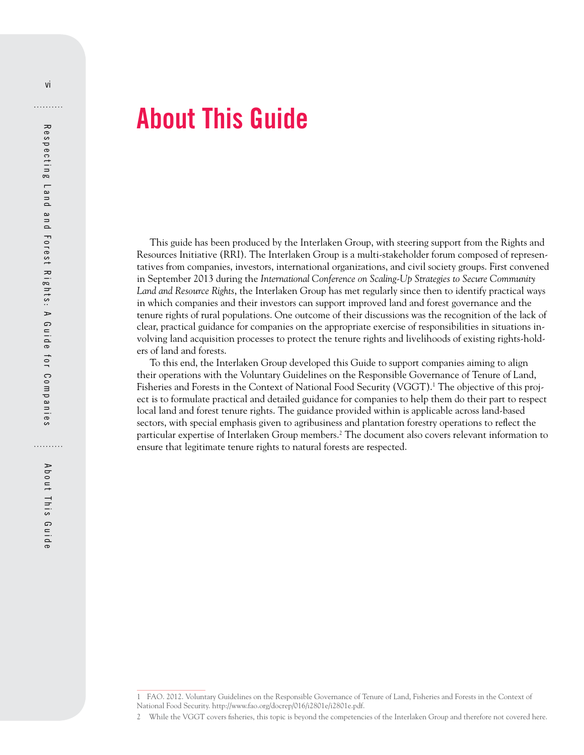# **About This Guide**

This guide has been produced by the Interlaken Group, with steering support from the Rights and Resources Initiative (RRI). The Interlaken Group is a multi-stakeholder forum composed of representatives from companies, investors, international organizations, and civil society groups. First convened in September 2013 during the *International Conference on Scaling-Up Strategies to Secure Community Land and Resource Rights*, the Interlaken Group has met regularly since then to identify practical ways in which companies and their investors can support improved land and forest governance and the tenure rights of rural populations. One outcome of their discussions was the recognition of the lack of clear, practical guidance for companies on the appropriate exercise of responsibilities in situations involving land acquisition processes to protect the tenure rights and livelihoods of existing rights-holders of land and forests.

To this end, the Interlaken Group developed this Guide to support companies aiming to align their operations with the Voluntary Guidelines on the Responsible Governance of Tenure of Land, Fisheries and Forests in the Context of National Food Security (VGGT).1 The objective of this project is to formulate practical and detailed guidance for companies to help them do their part to respect local land and forest tenure rights. The guidance provided within is applicable across land-based sectors, with special emphasis given to agribusiness and plantation forestry operations to reflect the particular expertise of Interlaken Group members.2 The document also covers relevant information to ensure that legitimate tenure rights to natural forests are respected.

<span id="page-5-0"></span>vi

<sup>1</sup> FAO. 2012. Voluntary Guidelines on the Responsible Governance of Tenure of Land, Fisheries and Forests in the Context of National Food Security. [http://www.fao.org/docrep/016/i2801e/i2801e.pdf.](http://www.fao.org/docrep/016/i2801e/i2801e.pdf)

<sup>2</sup> While the VGGT covers fisheries, this topic is beyond the competencies of the Interlaken Group and therefore not covered here.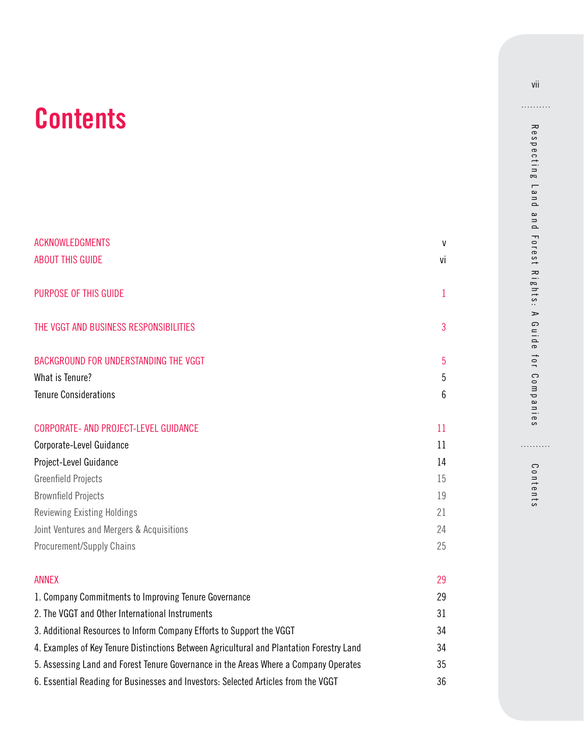# **Contents**

| <b>ACKNOWLEDGMENTS</b><br><b>ABOUT THIS GUIDE</b>                                        | V<br>٧İ      |
|------------------------------------------------------------------------------------------|--------------|
| PURPOSE OF THIS GUIDE                                                                    | $\mathbf{1}$ |
| THE VGGT AND BUSINESS RESPONSIBILITIES                                                   | 3            |
| BACKGROUND FOR UNDERSTANDING THE VGGT                                                    | 5            |
| What is Tenure?                                                                          | 5            |
| <b>Tenure Considerations</b>                                                             | 6            |
| CORPORATE- AND PROJECT-LEVEL GUIDANCE                                                    | 11           |
| Corporate-Level Guidance                                                                 | 11           |
| Project-Level Guidance                                                                   | 14           |
| <b>Greenfield Projects</b>                                                               | 15           |
| <b>Brownfield Projects</b>                                                               | 19           |
| <b>Reviewing Existing Holdings</b>                                                       | 21           |
| Joint Ventures and Mergers & Acquisitions                                                | 24           |
| <b>Procurement/Supply Chains</b>                                                         | 25           |
|                                                                                          |              |
| <b>ANNEX</b>                                                                             | 29           |
| 1. Company Commitments to Improving Tenure Governance                                    | 29           |
| 2. The VGGT and Other International Instruments                                          | 31           |
| 3. Additional Resources to Inform Company Efforts to Support the VGGT                    | 34           |
| 4. Examples of Key Tenure Distinctions Between Agricultural and Plantation Forestry Land | 34           |
| 5. Assessing Land and Forest Tenure Governance in the Areas Where a Company Operates     | 35           |
| 6. Essential Reading for Businesses and Investors: Selected Articles from the VGGT       | 36           |

Respecting Land and Forest Rights: A Guide for Companies Respecting Land and Forest Rights: A Guide for Companies

Contents Contents

. . . . . . . . .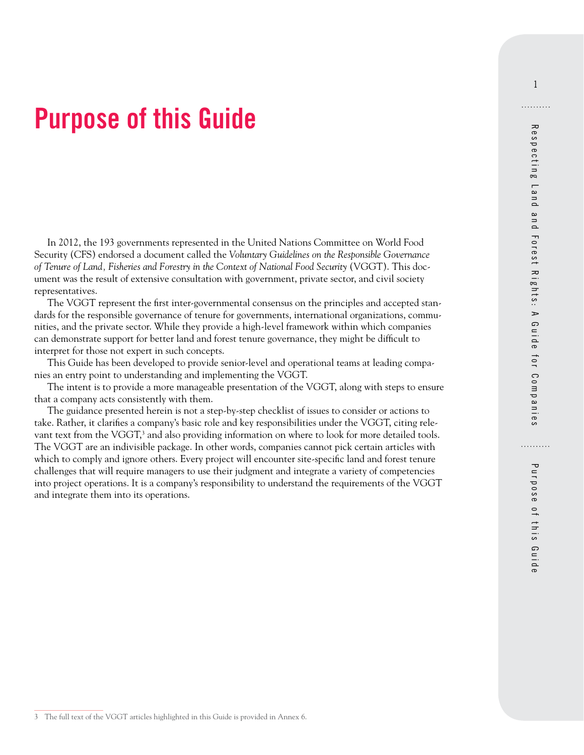# <span id="page-8-0"></span>**Purpose of this Guide**

In 2012, the 193 governments represented in the United Nations Committee on World Food Security (CFS) endorsed a document called the *Voluntary Guidelines on the Responsible Governance of Tenure of Land, Fisheries and Forestry in the Context of National Food Security* (VGGT). This document was the result of extensive consultation with government, private sector, and civil society representatives.

The VGGT represent the first inter-governmental consensus on the principles and accepted standards for the responsible governance of tenure for governments, international organizations, communities, and the private sector. While they provide a high-level framework within which companies can demonstrate support for better land and forest tenure governance, they might be difficult to interpret for those not expert in such concepts.

This Guide has been developed to provide senior-level and operational teams at leading companies an entry point to understanding and implementing the VGGT.

The intent is to provide a more manageable presentation of the VGGT, along with steps to ensure that a company acts consistently with them.

The guidance presented herein is not a step-by-step checklist of issues to consider or actions to take. Rather, it clarifies a company's basic role and key responsibilities under the VGGT, citing relevant text from the VGGT,<sup>3</sup> and also providing information on where to look for more detailed tools. The VGGT are an indivisible package. In other words, companies cannot pick certain articles with which to comply and ignore others. Every project will encounter site-specific land and forest tenure challenges that will require managers to use their judgment and integrate a variety of competencies into project operations. It is a company's responsibility to understand the requirements of the VGGT and integrate them into its operations.

1

. . . . . . . . . .

<sup>3</sup> The full text of the VGGT articles highlighted in this Guide is provided in Annex 6.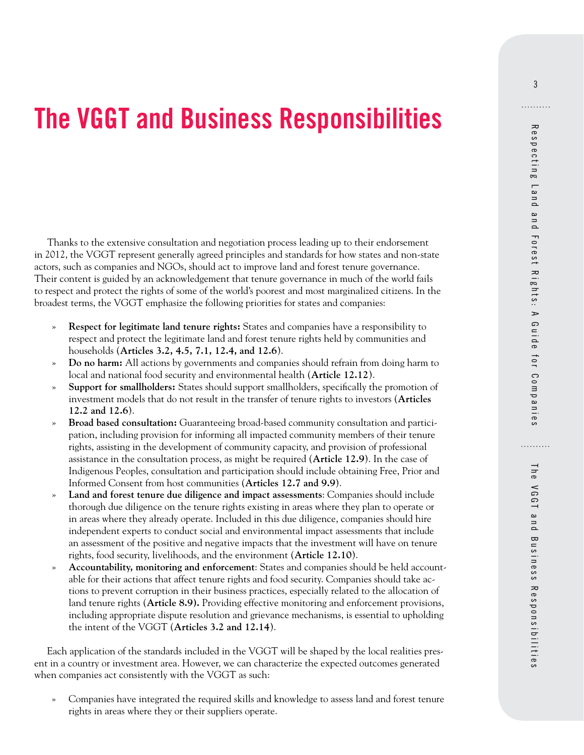# <span id="page-10-0"></span>**The VGGT and Business Responsibilities**

Thanks to the extensive consultation and negotiation process leading up to their endorsement in 2012, the VGGT represent generally agreed principles and standards for how states and non-state actors, such as companies and NGOs, should act to improve land and forest tenure governance. Their content is guided by an acknowledgement that tenure governance in much of the world fails to respect and protect the rights of some of the world's poorest and most marginalized citizens. In the broadest terms, the VGGT emphasize the following priorities for states and companies:

- » **Respect for legitimate land tenure rights:** States and companies have a responsibility to respect and protect the legitimate land and forest tenure rights held by communities and households (**Articles 3.2, 4.5, 7.1, 12.4, and 12.6**).
- » **Do no harm:** All actions by governments and companies should refrain from doing harm to local and national food security and environmental health (**Article 12.12**).
- » **Support for smallholders:** States should support smallholders, specifically the promotion of investment models that do not result in the transfer of tenure rights to investors (**Articles 12.2 and 12.6**).
- » **Broad based consultation:** Guaranteeing broad-based community consultation and participation, including provision for informing all impacted community members of their tenure rights, assisting in the development of community capacity, and provision of professional assistance in the consultation process, as might be required (**Article 12.9**). In the case of Indigenous Peoples, consultation and participation should include obtaining Free, Prior and Informed Consent from host communities (**Articles 12.7 and 9.9**).
- » **Land and forest tenure due diligence and impact assessments**: Companies should include thorough due diligence on the tenure rights existing in areas where they plan to operate or in areas where they already operate. Included in this due diligence, companies should hire independent experts to conduct social and environmental impact assessments that include an assessment of the positive and negative impacts that the investment will have on tenure rights, food security, livelihoods, and the environment (**Article 12.10**).
- » **Accountability, monitoring and enforcement**: States and companies should be held accountable for their actions that affect tenure rights and food security. Companies should take actions to prevent corruption in their business practices, especially related to the allocation of land tenure rights (**Article 8.9).** Providing effective monitoring and enforcement provisions, including appropriate dispute resolution and grievance mechanisms, is essential to upholding the intent of the VGGT (**Articles 3.2 and 12.14**).

Each application of the standards included in the VGGT will be shaped by the local realities present in a country or investment area. However, we can characterize the expected outcomes generated when companies act consistently with the VGGT as such:

» Companies have integrated the required skills and knowledge to assess land and forest tenure rights in areas where they or their suppliers operate.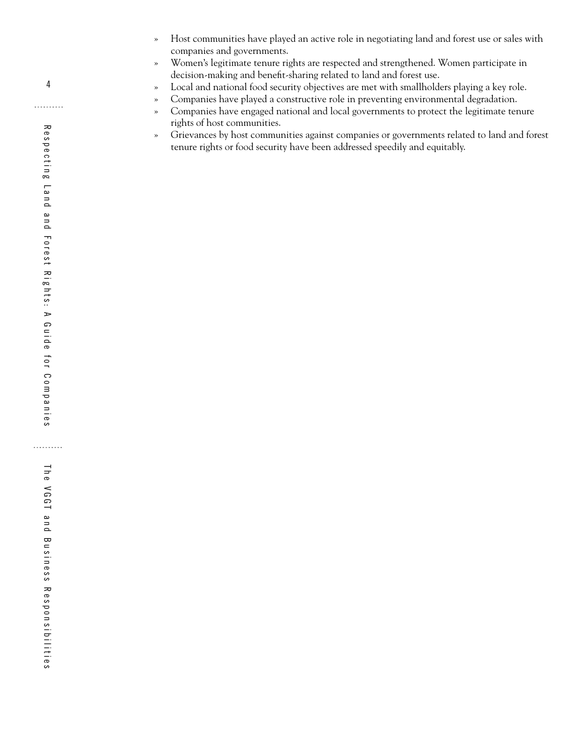- » Host communities have played an active role in negotiating land and forest use or sales with companies and governments.
- » Women's legitimate tenure rights are respected and strengthened. Women participate in decision-making and benefit-sharing related to land and forest use.
- » Local and national food security objectives are met with smallholders playing a key role.
- » Companies have played a constructive role in preventing environmental degradation.
- » Companies have engaged national and local governments to protect the legitimate tenure rights of host communities.
- » Grievances by host communities against companies or governments related to land and forest tenure rights or food security have been addressed speedily and equitably.

. . . . . . . . . .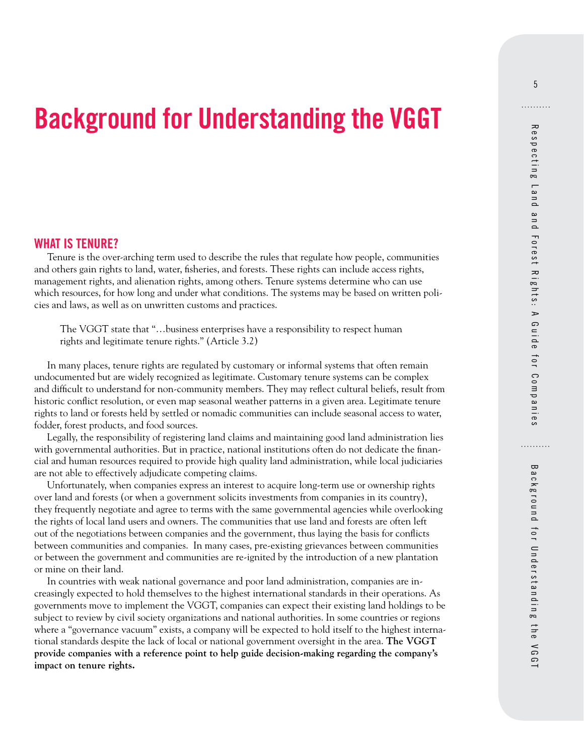# <span id="page-12-0"></span>**Background for Understanding the VGGT**

#### **WHAT IS TENURE?**

Tenure is the over-arching term used to describe the rules that regulate how people, communities and others gain rights to land, water, fisheries, and forests. These rights can include access rights, management rights, and alienation rights, among others. Tenure systems determine who can use which resources, for how long and under what conditions. The systems may be based on written policies and laws, as well as on unwritten customs and practices.

The VGGT state that "…business enterprises have a responsibility to respect human rights and legitimate tenure rights." (Article 3.2)

In many places, tenure rights are regulated by customary or informal systems that often remain undocumented but are widely recognized as legitimate. Customary tenure systems can be complex and difficult to understand for non-community members. They may reflect cultural beliefs, result from historic conflict resolution, or even map seasonal weather patterns in a given area. Legitimate tenure rights to land or forests held by settled or nomadic communities can include seasonal access to water, fodder, forest products, and food sources.

Legally, the responsibility of registering land claims and maintaining good land administration lies with governmental authorities. But in practice, national institutions often do not dedicate the financial and human resources required to provide high quality land administration, while local judiciaries are not able to effectively adjudicate competing claims.

Unfortunately, when companies express an interest to acquire long-term use or ownership rights over land and forests (or when a government solicits investments from companies in its country), they frequently negotiate and agree to terms with the same governmental agencies while overlooking the rights of local land users and owners. The communities that use land and forests are often left out of the negotiations between companies and the government, thus laying the basis for conflicts between communities and companies. In many cases, pre-existing grievances between communities or between the government and communities are re-ignited by the introduction of a new plantation or mine on their land.

In countries with weak national governance and poor land administration, companies are increasingly expected to hold themselves to the highest international standards in their operations. As governments move to implement the VGGT, companies can expect their existing land holdings to be subject to review by civil society organizations and national authorities. In some countries or regions where a "governance vacuum" exists, a company will be expected to hold itself to the highest international standards despite the lack of local or national government oversight in the area. **The VGGT provide companies with a reference point to help guide decision-making regarding the company's impact on tenure rights.**

Background for Understanding the VGGT

Background for Understanding the VGGT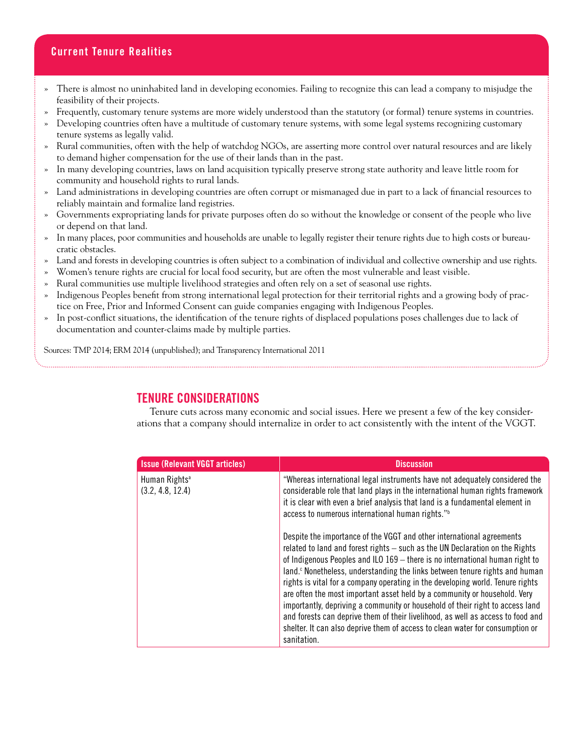## <span id="page-13-0"></span>**Current Tenure Realities**

- » There is almost no uninhabited land in developing economies. Failing to recognize this can lead a company to misjudge the feasibility of their projects.
- » Frequently, customary tenure systems are more widely understood than the statutory (or formal) tenure systems in countries.
- » Developing countries often have a multitude of customary tenure systems, with some legal systems recognizing customary tenure systems as legally valid.
- » Rural communities, often with the help of watchdog NGOs, are asserting more control over natural resources and are likely to demand higher compensation for the use of their lands than in the past.
- » In many developing countries, laws on land acquisition typically preserve strong state authority and leave little room for community and household rights to rural lands.
- » Land administrations in developing countries are often corrupt or mismanaged due in part to a lack of financial resources to reliably maintain and formalize land registries.
- » Governments expropriating lands for private purposes often do so without the knowledge or consent of the people who live or depend on that land.
- » In many places, poor communities and households are unable to legally register their tenure rights due to high costs or bureaucratic obstacles.
- » Land and forests in developing countries is often subject to a combination of individual and collective ownership and use rights.
- » Women's tenure rights are crucial for local food security, but are often the most vulnerable and least visible.
- » Rural communities use multiple livelihood strategies and often rely on a set of seasonal use rights.
- » Indigenous Peoples benefit from strong international legal protection for their territorial rights and a growing body of practice on Free, Prior and Informed Consent can guide companies engaging with Indigenous Peoples.
- » In post-conflict situations, the identification of the tenure rights of displaced populations poses challenges due to lack of documentation and counter-claims made by multiple parties.

Sources: TMP 2014; ERM 2014 (unpublished); and Transparency International 2011

## **TENURE CONSIDERATIONS**

Tenure cuts across many economic and social issues. Here we present a few of the key considerations that a company should internalize in order to act consistently with the intent of the VGGT.

| <b>Issue (Relevant VGGT articles)</b>         | <b>Discussion</b>                                                                                                                                                                                                                                                                                                                                                                                                                                                                                                                                                                                                                                                                                                                                                   |
|-----------------------------------------------|---------------------------------------------------------------------------------------------------------------------------------------------------------------------------------------------------------------------------------------------------------------------------------------------------------------------------------------------------------------------------------------------------------------------------------------------------------------------------------------------------------------------------------------------------------------------------------------------------------------------------------------------------------------------------------------------------------------------------------------------------------------------|
| Human Rights <sup>a</sup><br>(3.2, 4.8, 12.4) | "Whereas international legal instruments have not adequately considered the<br>considerable role that land plays in the international human rights framework<br>it is clear with even a brief analysis that land is a fundamental element in<br>access to numerous international human rights." <sup>b</sup>                                                                                                                                                                                                                                                                                                                                                                                                                                                        |
|                                               | Despite the importance of the VGGT and other international agreements<br>related to land and forest rights - such as the UN Declaration on the Rights<br>of Indigenous Peoples and ILO 169 - there is no international human right to<br>land. <sup>c</sup> Nonetheless, understanding the links between tenure rights and human<br>rights is vital for a company operating in the developing world. Tenure rights<br>are often the most important asset held by a community or household. Very<br>importantly, depriving a community or household of their right to access land<br>and forests can deprive them of their livelihood, as well as access to food and<br>shelter. It can also deprive them of access to clean water for consumption or<br>sanitation. |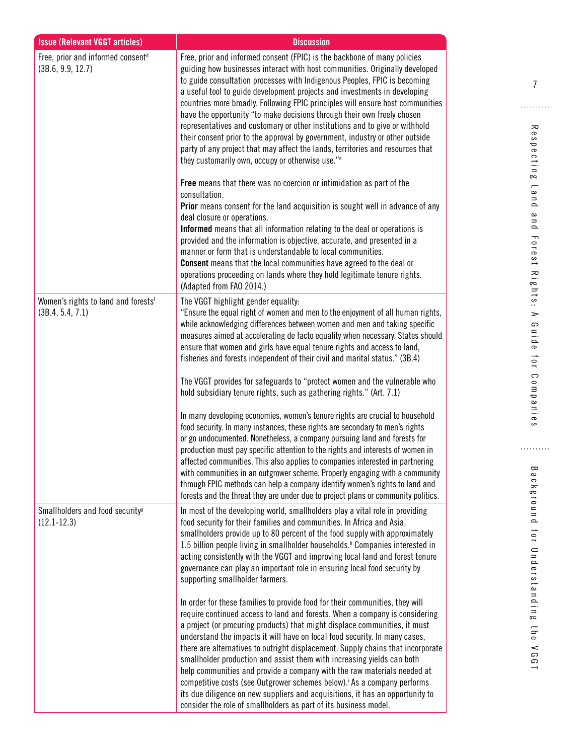| <b>Issue (Relevant VGGT articles)</b>                               | <b>Discussion</b>                                                                                                                                                                                                                                                                                                                                                                                                                                                                                                                                                                                                                                                                                                                                                                               |
|---------------------------------------------------------------------|-------------------------------------------------------------------------------------------------------------------------------------------------------------------------------------------------------------------------------------------------------------------------------------------------------------------------------------------------------------------------------------------------------------------------------------------------------------------------------------------------------------------------------------------------------------------------------------------------------------------------------------------------------------------------------------------------------------------------------------------------------------------------------------------------|
| Free, prior and informed consent <sup>d</sup><br>(3B.6, 9.9, 12.7)  | Free, prior and informed consent (FPIC) is the backbone of many policies<br>guiding how businesses interact with host communities. Originally developed<br>to guide consultation processes with Indigenous Peoples, FPIC is becoming<br>a useful tool to guide development projects and investments in developing<br>countries more broadly. Following FPIC principles will ensure host communities<br>have the opportunity "to make decisions through their own freely chosen<br>representatives and customary or other institutions and to give or withhold<br>their consent prior to the approval by government, industry or other outside<br>party of any project that may affect the lands, territories and resources that<br>they customarily own, occupy or otherwise use." <sup>e</sup> |
|                                                                     | Free means that there was no coercion or intimidation as part of the<br>consultation.<br>Prior means consent for the land acquisition is sought well in advance of any<br>deal closure or operations.<br>Informed means that all information relating to the deal or operations is<br>provided and the information is objective, accurate, and presented in a<br>manner or form that is understandable to local communities.<br><b>Consent</b> means that the local communities have agreed to the deal or<br>operations proceeding on lands where they hold legitimate tenure rights.<br>(Adapted from FAO 2014.)                                                                                                                                                                              |
| Women's rights to land and forests <sup>f</sup><br>(3B.4, 5.4, 7.1) | The VGGT highlight gender equality:<br>"Ensure the equal right of women and men to the enjoyment of all human rights,<br>while acknowledging differences between women and men and taking specific<br>measures aimed at accelerating de facto equality when necessary. States should<br>ensure that women and girls have equal tenure rights and access to land,<br>fisheries and forests independent of their civil and marital status." (3B.4)<br>The VGGT provides for safeguards to "protect women and the vulnerable who<br>hold subsidiary tenure rights, such as gathering rights." (Art. 7.1)                                                                                                                                                                                           |
|                                                                     | In many developing economies, women's tenure rights are crucial to household<br>food security. In many instances, these rights are secondary to men's rights<br>or go undocumented. Nonetheless, a company pursuing land and forests for<br>production must pay specific attention to the rights and interests of women in<br>affected communities. This also applies to companies interested in partnering<br>with communities in an outgrower scheme. Properly engaging with a community<br>through FPIC methods can help a company identify women's rights to land and<br>forests and the threat they are under due to project plans or community politics.                                                                                                                                  |
| Smallholders and food security <sup>g</sup><br>$(12.1 - 12.3)$      | In most of the developing world, smallholders play a vital role in providing<br>food security for their families and communities. In Africa and Asia,<br>smallholders provide up to 80 percent of the food supply with approximately<br>1.5 billion people living in smallholder households. <sup>h</sup> Companies interested in<br>acting consistently with the VGGT and improving local land and forest tenure<br>governance can play an important role in ensuring local food security by<br>supporting smallholder farmers.                                                                                                                                                                                                                                                                |
|                                                                     | In order for these families to provide food for their communities, they will<br>require continued access to land and forests. When a company is considering<br>a project (or procuring products) that might displace communities, it must<br>understand the impacts it will have on local food security. In many cases,<br>there are alternatives to outright displacement. Supply chains that incorporate<br>smallholder production and assist them with increasing yields can both<br>help communities and provide a company with the raw materials needed at<br>competitive costs (see Outgrower schemes below). As a company performs<br>its due diligence on new suppliers and acquisitions, it has an opportunity to<br>consider the role of smallholders as part of its business model.  |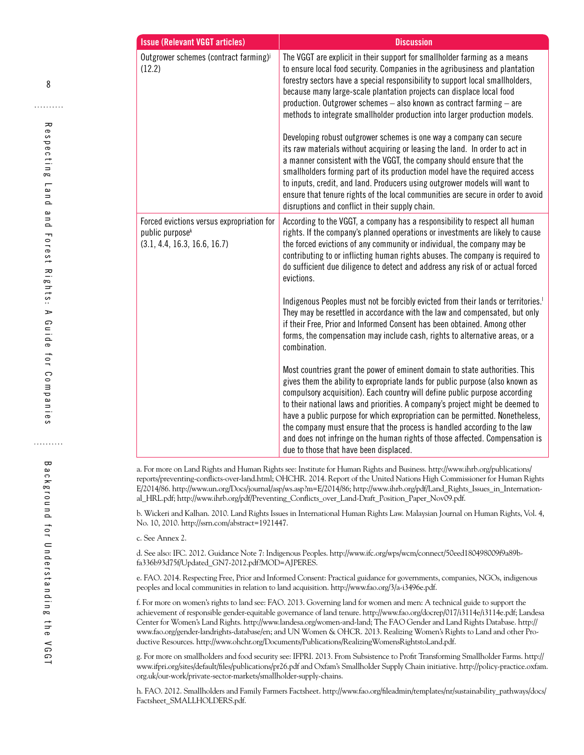| <b>Issue (Relevant VGGT articles)</b>                                                                    | <b>Discussion</b>                                                                                                                                                                                                                                                                                                                                                                                                                                                                                                                                                                                                                                                                                                                                                                                                                                                                                                                                     |
|----------------------------------------------------------------------------------------------------------|-------------------------------------------------------------------------------------------------------------------------------------------------------------------------------------------------------------------------------------------------------------------------------------------------------------------------------------------------------------------------------------------------------------------------------------------------------------------------------------------------------------------------------------------------------------------------------------------------------------------------------------------------------------------------------------------------------------------------------------------------------------------------------------------------------------------------------------------------------------------------------------------------------------------------------------------------------|
| Outgrower schemes (contract farming) <sup>j</sup><br>(12.2)                                              | The VGGT are explicit in their support for smallholder farming as a means<br>to ensure local food security. Companies in the agribusiness and plantation<br>forestry sectors have a special responsibility to support local smallholders,<br>because many large-scale plantation projects can displace local food<br>production. Outgrower schemes - also known as contract farming - are<br>methods to integrate smallholder production into larger production models.<br>Developing robust outgrower schemes is one way a company can secure<br>its raw materials without acquiring or leasing the land. In order to act in<br>a manner consistent with the VGGT, the company should ensure that the<br>smallholders forming part of its production model have the required access<br>to inputs, credit, and land. Producers using outgrower models will want to<br>ensure that tenure rights of the local communities are secure in order to avoid |
|                                                                                                          | disruptions and conflict in their supply chain.                                                                                                                                                                                                                                                                                                                                                                                                                                                                                                                                                                                                                                                                                                                                                                                                                                                                                                       |
| Forced evictions versus expropriation for<br>public purpose <sup>k</sup><br>(3.1, 4.4, 16.3, 16.6, 16.7) | According to the VGGT, a company has a responsibility to respect all human<br>rights. If the company's planned operations or investments are likely to cause<br>the forced evictions of any community or individual, the company may be<br>contributing to or inflicting human rights abuses. The company is required to<br>do sufficient due diligence to detect and address any risk of or actual forced<br>evictions.                                                                                                                                                                                                                                                                                                                                                                                                                                                                                                                              |
|                                                                                                          | Indigenous Peoples must not be forcibly evicted from their lands or territories. <sup>1</sup><br>They may be resettled in accordance with the law and compensated, but only<br>if their Free, Prior and Informed Consent has been obtained. Among other<br>forms, the compensation may include cash, rights to alternative areas, or a<br>combination.                                                                                                                                                                                                                                                                                                                                                                                                                                                                                                                                                                                                |
|                                                                                                          | Most countries grant the power of eminent domain to state authorities. This<br>gives them the ability to expropriate lands for public purpose (also known as<br>compulsory acquisition). Each country will define public purpose according<br>to their national laws and priorities. A company's project might be deemed to<br>have a public purpose for which expropriation can be permitted. Nonetheless,<br>the company must ensure that the process is handled according to the law<br>and does not infringe on the human rights of those affected. Compensation is<br>due to those that have been displaced.                                                                                                                                                                                                                                                                                                                                     |

a. For more on Land Rights and Human Rights see: Institute for Human Rights and Business. http://www.ihrb.org/publications/ reports/preventing-conflicts-over-land.html; OHCHR. 2014. Report of the United Nations High Commissioner for Human Rights E/2014/86. http://www.un.org/Docs/journal/asp/ws.asp?m=E/2014/86; http://www.ihrb.org/pdf/Land\_Rights\_Issues\_in\_International\_HRL.pdf; http://www.ihrb.org/pdf/Preventing\_Conflicts\_over\_Land-Draft\_Position\_Paper\_Nov09.pdf.

b. Wickeri and Kalhan. 2010. Land Rights Issues in International Human Rights Law. Malaysian Journal on Human Rights, Vol. 4, No. 10, 2010. http://ssrn.com/abstract=1921447.

c. See Annex 2.

d. See also: IFC. 2012. Guidance Note 7: Indigenous Peoples. http://www.ifc.org/wps/wcm/connect/50eed180498009f9a89bfa336b93d75f/Updated\_GN7-2012.pdf?MOD=AJPERES.

e. FAO. 2014. Respecting Free, Prior and Informed Consent: Practical guidance for governments, companies, NGOs, indigenous peoples and local communities in relation to land acquisition. http://www.fao.org/3/a-i3496e.pdf.

f. For more on women's rights to land see: FAO. 2013. Governing land for women and men: A technical guide to support the achievement of responsible gender-equitable governance of land tenure. http://www.fao.org/docrep/017/i3114e/i3114e.pdf; Landesa Center for Women's Land Rights. http://www.landesa.org/women-and-land; The FAO Gender and Land Rights Database. http:// www.fao.org/gender-landrights-database/en; and UN Women & OHCR. 2013. Realizing Women's Rights to Land and other Productive Resources. http://www.ohchr.org/Documents/Publications/RealizingWomensRightstoLand.pdf.

g. For more on smallholders and food security see: IFPRI. 2013. From Subsistence to Profit Transforming Smallholder Farms. http:// www.ifpri.org/sites/default/files/publications/pr26.pdf and Oxfam's Smallholder Supply Chain initiative. http://policy-practice.oxfam. org.uk/our-work/private-sector-markets/smallholder-supply-chains.

h. FAO. 2012. Smallholders and Family Farmers Factsheet. http://www.fao.org/fileadmin/templates/nr/sustainability\_pathways/docs/ Factsheet\_SMALLHOLDERS.pdf.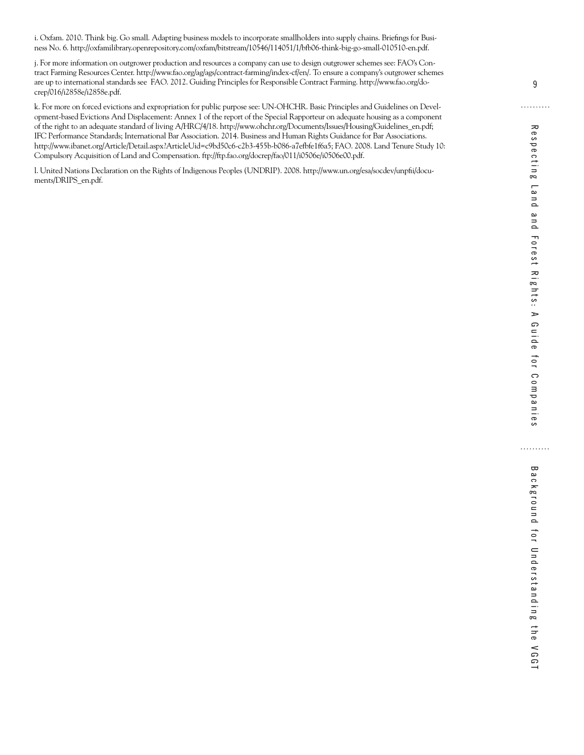i. Oxfam. 2010. Think big. Go small. Adapting business models to incorporate smallholders into supply chains. Briefings for Business No. 6. http://oxfamilibrary.openrepository.com/oxfam/bitstream/10546/114051/1/bfb06-think-big-go-small-010510-en.pdf.

j. For more information on outgrower production and resources a company can use to design outgrower schemes see: FAO's Contract Farming Resources Center. http://www.fao.org/ag/ags/contract-farming/index-cf/en/. To ensure a company's outgrower schemes are up to international standards see FAO. 2012. Guiding Principles for Responsible Contract Farming. http://www.fao.org/docrep/016/i2858e/i2858e.pdf.

k. For more on forced evictions and expropriation for public purpose see: UN-OHCHR. Basic Principles and Guidelines on Development-based Evictions And Displacement: Annex 1 of the report of the Special Rapporteur on adequate housing as a component of the right to an adequate standard of living A/HRC/4/18. http://www.ohchr.org/Documents/Issues/Housing/Guidelines\_en.pdf; IFC Performance Standards; International Bar Association. 2014. Business and Human Rights Guidance for Bar Associations. http://www.ibanet.org/Article/Detail.aspx?ArticleUid=c9bd50c6-c2b3-455b-b086-a7efbfe1f6a5; FAO. 2008. Land Tenure Study 10: Compulsory Acquisition of Land and Compensation. ftp://ftp.fao.org/docrep/fao/011/i0506e/i0506e00.pdf.

l. United Nations Declaration on the Rights of Indigenous Peoples (UNDRIP). 2008. http://www.un.org/esa/socdev/unpfii/documents/DRIPS\_en.pdf.

9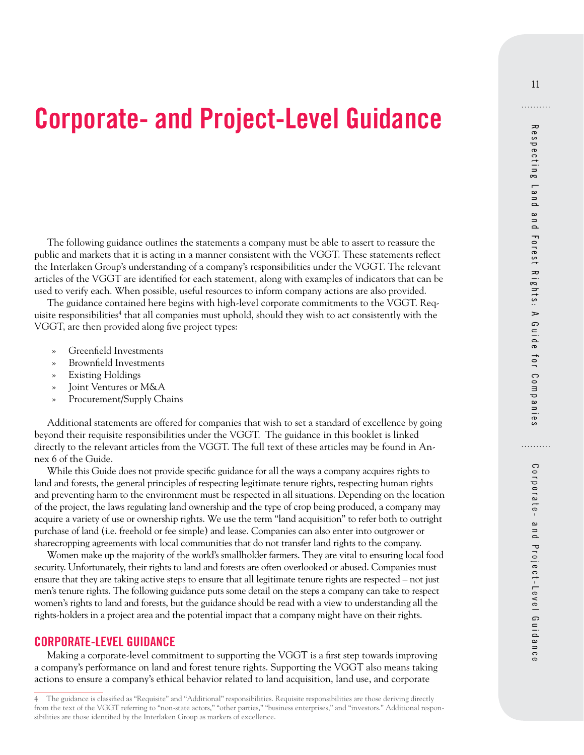# <span id="page-18-0"></span>**Corporate- and Project-Level Guidance**

The following guidance outlines the statements a company must be able to assert to reassure the public and markets that it is acting in a manner consistent with the VGGT. These statements reflect the Interlaken Group's understanding of a company's responsibilities under the VGGT. The relevant articles of the VGGT are identified for each statement, along with examples of indicators that can be used to verify each. When possible, useful resources to inform company actions are also provided.

The guidance contained here begins with high-level corporate commitments to the VGGT. Requisite responsibilities<sup>4</sup> that all companies must uphold, should they wish to act consistently with the VGGT, are then provided along five project types:

- » Greenfield Investments
- » Brownfield Investments
- » Existing Holdings
- » Joint Ventures or M&A
- » Procurement/Supply Chains

Additional statements are offered for companies that wish to set a standard of excellence by going beyond their requisite responsibilities under the VGGT. The guidance in this booklet is linked directly to the relevant articles from the VGGT. The full text of these articles may be found in Annex 6 of the Guide.

While this Guide does not provide specific guidance for all the ways a company acquires rights to land and forests, the general principles of respecting legitimate tenure rights, respecting human rights and preventing harm to the environment must be respected in all situations. Depending on the location of the project, the laws regulating land ownership and the type of crop being produced, a company may acquire a variety of use or ownership rights. We use the term "land acquisition" to refer both to outright purchase of land (i.e. freehold or fee simple) and lease. Companies can also enter into outgrower or sharecropping agreements with local communities that do not transfer land rights to the company.

Women make up the majority of the world's smallholder farmers. They are vital to ensuring local food security. Unfortunately, their rights to land and forests are often overlooked or abused. Companies must ensure that they are taking active steps to ensure that all legitimate tenure rights are respected – not just men's tenure rights. The following guidance puts some detail on the steps a company can take to respect women's rights to land and forests, but the guidance should be read with a view to understanding all the rights-holders in a project area and the potential impact that a company might have on their rights.

#### **CORPORATE-LEVEL GUIDANCE**

Making a corporate-level commitment to supporting the VGGT is a first step towards improving a company's performance on land and forest tenure rights. Supporting the VGGT also means taking actions to ensure a company's ethical behavior related to land acquisition, land use, and corporate

<sup>4</sup> The guidance is classified as "Requisite" and "Additional" responsibilities. Requisite responsibilities are those deriving directly from the text of the VGGT referring to "non-state actors," "other parties," "business enterprises," and "investors." Additional responsibilities are those identified by the Interlaken Group as markers of excellence.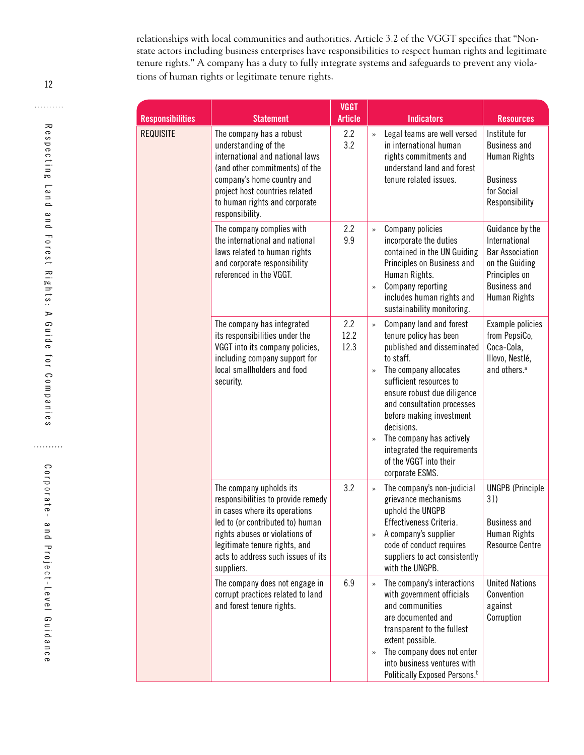relationships with local communities and authorities. Article 3.2 of the VGGT specifies that "Nonstate actors including business enterprises have responsibilities to respect human rights and legitimate tenure rights." A company has a duty to fully integrate systems and safeguards to prevent any violations of human rights or legitimate tenure rights.

| <b>Responsibilities</b> | <b>Statement</b>                                                                                                                                                                                                                                          | <b>VGGT</b><br><b>Article</b> | <b>Indicators</b>                                                                                                                                                                                                                                                                                                                                                                                  | <b>Resources</b>                                                                                                                     |
|-------------------------|-----------------------------------------------------------------------------------------------------------------------------------------------------------------------------------------------------------------------------------------------------------|-------------------------------|----------------------------------------------------------------------------------------------------------------------------------------------------------------------------------------------------------------------------------------------------------------------------------------------------------------------------------------------------------------------------------------------------|--------------------------------------------------------------------------------------------------------------------------------------|
| <b>REQUISITE</b>        | The company has a robust<br>understanding of the<br>international and national laws<br>(and other commitments) of the<br>company's home country and<br>project host countries related<br>to human rights and corporate<br>responsibility.                 | 2.2<br>3.2                    | Legal teams are well versed<br>$\rightarrow$<br>in international human<br>rights commitments and<br>understand land and forest<br>tenure related issues.                                                                                                                                                                                                                                           | Institute for<br><b>Business and</b><br>Human Rights<br><b>Business</b><br>for Social<br>Responsibility                              |
|                         | The company complies with<br>the international and national<br>laws related to human rights<br>and corporate responsibility<br>referenced in the VGGT.                                                                                                    | 2.2<br>9.9                    | Company policies<br>$\rightarrow$<br>incorporate the duties<br>contained in the UN Guiding<br>Principles on Business and<br>Human Rights.<br>Company reporting<br>$\gg$<br>includes human rights and<br>sustainability monitoring.                                                                                                                                                                 | Guidance by the<br>International<br><b>Bar Association</b><br>on the Guiding<br>Principles on<br><b>Business and</b><br>Human Rights |
|                         | The company has integrated<br>its responsibilities under the<br>VGGT into its company policies,<br>including company support for<br>local smallholders and food<br>security.                                                                              | 2.2<br>12.2<br>12.3           | Company land and forest<br>$\gg$<br>tenure policy has been<br>published and disseminated<br>to staff.<br>The company allocates<br>$\rightarrow$<br>sufficient resources to<br>ensure robust due diligence<br>and consultation processes<br>before making investment<br>decisions.<br>The company has actively<br>$\gg$<br>integrated the requirements<br>of the VGGT into their<br>corporate ESMS. | Example policies<br>from PepsiCo,<br>Coca-Cola,<br>Illovo, Nestlé,<br>and others. <sup>a</sup>                                       |
|                         | The company upholds its<br>responsibilities to provide remedy<br>in cases where its operations<br>led to (or contributed to) human<br>rights abuses or violations of<br>legitimate tenure rights, and<br>acts to address such issues of its<br>suppliers. | 3.2                           | The company's non-judicial<br>$\rightarrow$<br>grievance mechanisms<br>uphold the UNGPB<br>Effectiveness Criteria.<br>A company's supplier<br>$\gg$<br>code of conduct requires<br>suppliers to act consistently<br>with the UNGPB.                                                                                                                                                                | <b>UNGPB</b> (Principle<br>31)<br><b>Business and</b><br>Human Rights<br><b>Resource Centre</b>                                      |
|                         | The company does not engage in<br>corrupt practices related to land<br>and forest tenure rights.                                                                                                                                                          | 6.9                           | The company's interactions<br>$\gg$<br>with government officials<br>and communities<br>are documented and<br>transparent to the fullest<br>extent possible.<br>The company does not enter<br>$\gg$<br>into business ventures with<br>Politically Exposed Persons. <sup>b</sup>                                                                                                                     | <b>United Nations</b><br>Convention<br>against<br>Corruption                                                                         |

12

. . . . . . . . . .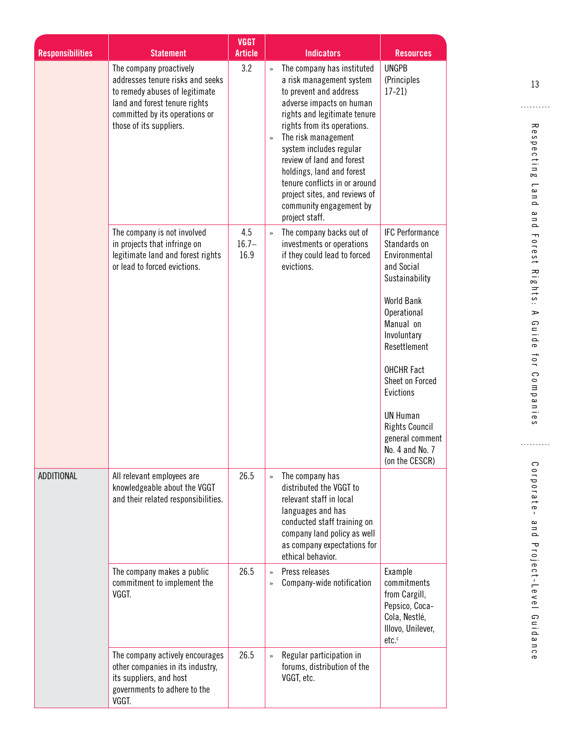|                         |                                                                                                                                                                                             | <b>VGGT</b>             |                                                                                                                                                                                                                                                                                                                                                                                                                              |                                                                                                          |
|-------------------------|---------------------------------------------------------------------------------------------------------------------------------------------------------------------------------------------|-------------------------|------------------------------------------------------------------------------------------------------------------------------------------------------------------------------------------------------------------------------------------------------------------------------------------------------------------------------------------------------------------------------------------------------------------------------|----------------------------------------------------------------------------------------------------------|
| <b>Responsibilities</b> | <b>Statement</b>                                                                                                                                                                            | <b>Article</b>          | <b>Indicators</b>                                                                                                                                                                                                                                                                                                                                                                                                            | <b>Resources</b>                                                                                         |
|                         | The company proactively<br>addresses tenure risks and seeks<br>to remedy abuses of legitimate<br>land and forest tenure rights<br>committed by its operations or<br>those of its suppliers. | 3.2                     | The company has instituted<br>»<br>a risk management system<br>to prevent and address<br>adverse impacts on human<br>rights and legitimate tenure<br>rights from its operations.<br>The risk management<br>$\rightarrow$<br>system includes regular<br>review of land and forest<br>holdings, land and forest<br>tenure conflicts in or around<br>project sites, and reviews of<br>community engagement by<br>project staff. | <b>UNGPB</b><br>(Principles<br>$17-21$                                                                   |
|                         | The company is not involved<br>in projects that infringe on<br>legitimate land and forest rights<br>or lead to forced evictions.                                                            | 4.5<br>$16.7 -$<br>16.9 | The company backs out of<br>$\rightarrow$<br>investments or operations<br>if they could lead to forced<br>evictions.                                                                                                                                                                                                                                                                                                         | <b>IFC Performance</b><br>Standards on<br>Environmental<br>and Social<br>Sustainability                  |
|                         |                                                                                                                                                                                             |                         |                                                                                                                                                                                                                                                                                                                                                                                                                              | <b>World Bank</b><br>Operational<br>Manual on<br>Involuntary<br>Resettlement                             |
|                         |                                                                                                                                                                                             |                         |                                                                                                                                                                                                                                                                                                                                                                                                                              | <b>OHCHR Fact</b><br>Sheet on Forced<br>Evictions                                                        |
|                         |                                                                                                                                                                                             |                         |                                                                                                                                                                                                                                                                                                                                                                                                                              | <b>UN Human</b><br><b>Rights Council</b><br>general comment<br>No. 4 and No. 7<br>(on the CESCR)         |
| ADDITIONAL              | All relevant employees are<br>knowledgeable about the VGGT<br>and their related responsibilities.                                                                                           | 26.5                    | The company has<br>$\rightarrow$<br>distributed the VGGT to<br>relevant staff in local<br>languages and has<br>conducted staff training on<br>company land policy as well<br>as company expectations for<br>ethical behavior.                                                                                                                                                                                                |                                                                                                          |
|                         | The company makes a public<br>commitment to implement the<br>VGGT.                                                                                                                          | 26.5                    | Press releases<br>$\rightarrow$<br>Company-wide notification<br>$\gg$                                                                                                                                                                                                                                                                                                                                                        | Example<br>commitments<br>from Cargill,<br>Pepsico, Coca-<br>Cola, Nestlé,<br>Illovo, Unilever,<br>etc.c |
|                         | The company actively encourages<br>other companies in its industry,<br>its suppliers, and host<br>governments to adhere to the<br>VGGT.                                                     | 26.5                    | Regular participation in<br>$\rightarrow$<br>forums, distribution of the<br>VGGT, etc.                                                                                                                                                                                                                                                                                                                                       |                                                                                                          |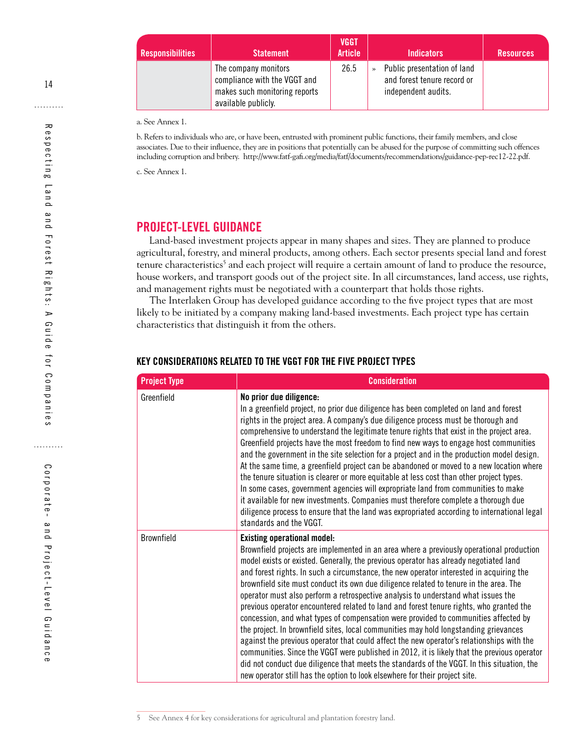| <b>Responsibilities</b> | <b>Statement</b>                                                                                             | <b>VGGT</b><br><b>Article</b> |               | <b>Indicators</b>                                                                 | <b>Resources</b> |
|-------------------------|--------------------------------------------------------------------------------------------------------------|-------------------------------|---------------|-----------------------------------------------------------------------------------|------------------|
|                         | The company monitors<br>compliance with the VGGT and<br>makes such monitoring reports<br>available publicly. | 26.5                          | $\rightarrow$ | Public presentation of land<br>and forest tenure record or<br>independent audits. |                  |

a. See Annex 1.

b. Refers to individuals who are, or have been, entrusted with prominent public functions, their family members, and close associates. Due to their influence, they are in positions that potentially can be abused for the purpose of committing such offences including corruption and bribery. http://www.fatf-gafi.org/media/fatf/documents/recommendations/guidance-pep-rec12-22.pdf.

c. See Annex 1.

#### **PROJECT-LEVEL GUIDANCE**

Land-based investment projects appear in many shapes and sizes. They are planned to produce agricultural, forestry, and mineral products, among others. Each sector presents special land and forest tenure characteristics<sup>5</sup> and each project will require a certain amount of land to produce the resource, house workers, and transport goods out of the project site. In all circumstances, land access, use rights, and management rights must be negotiated with a counterpart that holds those rights.

The Interlaken Group has developed guidance according to the five project types that are most likely to be initiated by a company making land-based investments. Each project type has certain characteristics that distinguish it from the others.

| <b>Project Type</b> | <b>Consideration</b>                                                                                                                                                                                                                                                                                                                                                                                                                                                                                                                                                                                                                                                                                                                                                                                                                                                                                                                                                                                                                                                                                                                                |
|---------------------|-----------------------------------------------------------------------------------------------------------------------------------------------------------------------------------------------------------------------------------------------------------------------------------------------------------------------------------------------------------------------------------------------------------------------------------------------------------------------------------------------------------------------------------------------------------------------------------------------------------------------------------------------------------------------------------------------------------------------------------------------------------------------------------------------------------------------------------------------------------------------------------------------------------------------------------------------------------------------------------------------------------------------------------------------------------------------------------------------------------------------------------------------------|
| Greenfield          | No prior due diligence:<br>In a greenfield project, no prior due diligence has been completed on land and forest<br>rights in the project area. A company's due diligence process must be thorough and<br>comprehensive to understand the legitimate tenure rights that exist in the project area.<br>Greenfield projects have the most freedom to find new ways to engage host communities<br>and the government in the site selection for a project and in the production model design.<br>At the same time, a greenfield project can be abandoned or moved to a new location where<br>the tenure situation is clearer or more equitable at less cost than other project types.<br>In some cases, government agencies will expropriate land from communities to make<br>it available for new investments. Companies must therefore complete a thorough due<br>diligence process to ensure that the land was expropriated according to international legal<br>standards and the VGGT.                                                                                                                                                              |
| <b>Brownfield</b>   | <b>Existing operational model:</b><br>Brownfield projects are implemented in an area where a previously operational production<br>model exists or existed. Generally, the previous operator has already negotiated land<br>and forest rights. In such a circumstance, the new operator interested in acquiring the<br>brownfield site must conduct its own due diligence related to tenure in the area. The<br>operator must also perform a retrospective analysis to understand what issues the<br>previous operator encountered related to land and forest tenure rights, who granted the<br>concession, and what types of compensation were provided to communities affected by<br>the project. In brownfield sites, local communities may hold longstanding grievances<br>against the previous operator that could affect the new operator's relationships with the<br>communities. Since the VGGT were published in 2012, it is likely that the previous operator<br>did not conduct due diligence that meets the standards of the VGGT. In this situation, the<br>new operator still has the option to look elsewhere for their project site. |

#### **KEY CONSIDERATIONS RELATED TO THE VGGT FOR THE FIVE PROJECT TYPES**

<span id="page-21-0"></span>14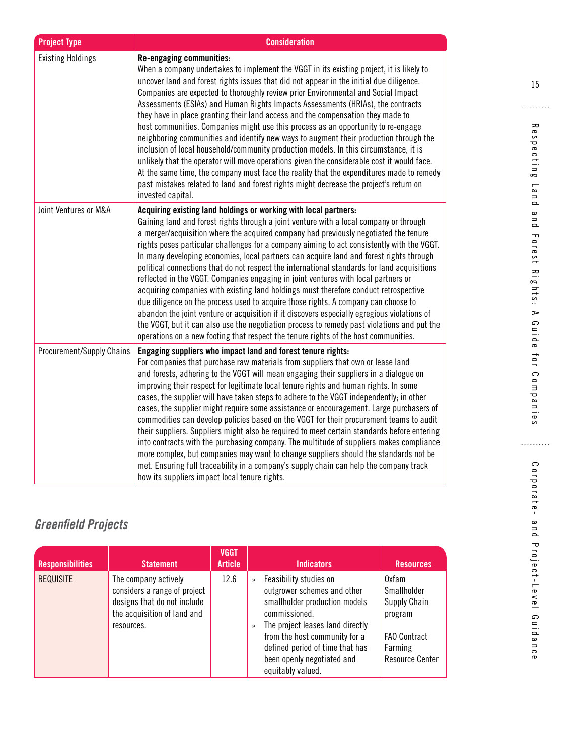<span id="page-22-0"></span>

| <b>Project Type</b>              | <b>Consideration</b>                                                                                                                                                                                                                                                                                                                                                                                                                                                                                                                                                                                                                                                                                                                                                                                                                                                                                                                                                                                                                                                                                |
|----------------------------------|-----------------------------------------------------------------------------------------------------------------------------------------------------------------------------------------------------------------------------------------------------------------------------------------------------------------------------------------------------------------------------------------------------------------------------------------------------------------------------------------------------------------------------------------------------------------------------------------------------------------------------------------------------------------------------------------------------------------------------------------------------------------------------------------------------------------------------------------------------------------------------------------------------------------------------------------------------------------------------------------------------------------------------------------------------------------------------------------------------|
| <b>Existing Holdings</b>         | Re-engaging communities:<br>When a company undertakes to implement the VGGT in its existing project, it is likely to<br>uncover land and forest rights issues that did not appear in the initial due diligence.<br>Companies are expected to thoroughly review prior Environmental and Social Impact<br>Assessments (ESIAs) and Human Rights Impacts Assessments (HRIAs), the contracts<br>they have in place granting their land access and the compensation they made to<br>host communities. Companies might use this process as an opportunity to re-engage<br>neighboring communities and identify new ways to augment their production through the<br>inclusion of local household/community production models. In this circumstance, it is<br>unlikely that the operator will move operations given the considerable cost it would face.<br>At the same time, the company must face the reality that the expenditures made to remedy<br>past mistakes related to land and forest rights might decrease the project's return on<br>invested capital.                                          |
| Joint Ventures or M&A            | Acquiring existing land holdings or working with local partners:<br>Gaining land and forest rights through a joint venture with a local company or through<br>a merger/acquisition where the acquired company had previously negotiated the tenure<br>rights poses particular challenges for a company aiming to act consistently with the VGGT.<br>In many developing economies, local partners can acquire land and forest rights through<br>political connections that do not respect the international standards for land acquisitions<br>reflected in the VGGT. Companies engaging in joint ventures with local partners or<br>acquiring companies with existing land holdings must therefore conduct retrospective<br>due diligence on the process used to acquire those rights. A company can choose to<br>abandon the joint venture or acquisition if it discovers especially egregious violations of<br>the VGGT, but it can also use the negotiation process to remedy past violations and put the<br>operations on a new footing that respect the tenure rights of the host communities. |
| <b>Procurement/Supply Chains</b> | Engaging suppliers who impact land and forest tenure rights:<br>For companies that purchase raw materials from suppliers that own or lease land<br>and forests, adhering to the VGGT will mean engaging their suppliers in a dialogue on<br>improving their respect for legitimate local tenure rights and human rights. In some<br>cases, the supplier will have taken steps to adhere to the VGGT independently; in other<br>cases, the supplier might require some assistance or encouragement. Large purchasers of<br>commodities can develop policies based on the VGGT for their procurement teams to audit<br>their suppliers. Suppliers might also be required to meet certain standards before entering<br>into contracts with the purchasing company. The multitude of suppliers makes compliance<br>more complex, but companies may want to change suppliers should the standards not be<br>met. Ensuring full traceability in a company's supply chain can help the company track<br>how its suppliers impact local tenure rights.                                                      |

# *Greenfield Projects*

| <b>Responsibilities</b> | <b>Statement</b>                                                                                                                 | <b>VGGT</b><br><b>Article</b> | <b>Indicators</b>                                                                                                                                                                                                                                                                                    | <b>Resources</b>                                                                                                   |
|-------------------------|----------------------------------------------------------------------------------------------------------------------------------|-------------------------------|------------------------------------------------------------------------------------------------------------------------------------------------------------------------------------------------------------------------------------------------------------------------------------------------------|--------------------------------------------------------------------------------------------------------------------|
| <b>REQUISITE</b>        | The company actively<br>considers a range of project<br>designs that do not include<br>the acquisition of land and<br>resources. | 12.6                          | Feasibility studies on<br>$\rightarrow$<br>outgrower schemes and other<br>smallholder production models<br>commissioned.<br>The project leases land directly<br>$\rightarrow$<br>from the host community for a<br>defined period of time that has<br>been openly negotiated and<br>equitably valued. | 0xfam<br>Smallholder<br><b>Supply Chain</b><br>program<br><b>FAO Contract</b><br>Farming<br><b>Resource Center</b> |

. . . . . . . . . .

Corporate- and Project-Level Guidance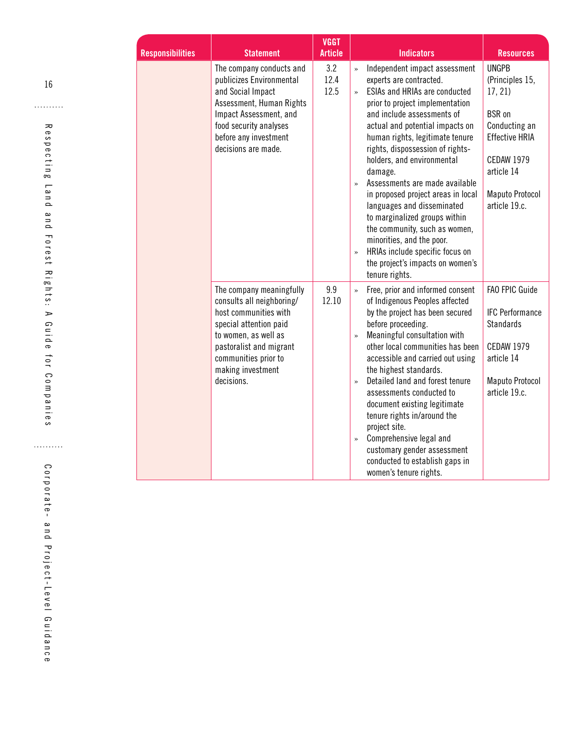| <b>Responsibilities</b> | <b>Statement</b>                                                                                                                                                                                                       | <b>VGGT</b><br><b>Article</b> | <b>Indicators</b>                                                                                                                                                                                                                                                                                                                                                                                                                                                                                                                                                                                                                                                                      | <b>Resources</b>                                                                                                                                                                   |
|-------------------------|------------------------------------------------------------------------------------------------------------------------------------------------------------------------------------------------------------------------|-------------------------------|----------------------------------------------------------------------------------------------------------------------------------------------------------------------------------------------------------------------------------------------------------------------------------------------------------------------------------------------------------------------------------------------------------------------------------------------------------------------------------------------------------------------------------------------------------------------------------------------------------------------------------------------------------------------------------------|------------------------------------------------------------------------------------------------------------------------------------------------------------------------------------|
|                         | The company conducts and<br>publicizes Environmental<br>and Social Impact<br>Assessment, Human Rights<br>Impact Assessment, and<br>food security analyses<br>before any investment<br>decisions are made.              | 3.2<br>12.4<br>12.5           | Independent impact assessment<br>$\rightarrow$<br>experts are contracted.<br><b>ESIAs and HRIAs are conducted</b><br>$\rightarrow$<br>prior to project implementation<br>and include assessments of<br>actual and potential impacts on<br>human rights, legitimate tenure<br>rights, dispossession of rights-<br>holders, and environmental<br>damage.<br>Assessments are made available<br>$\rightarrow$<br>in proposed project areas in local<br>languages and disseminated<br>to marginalized groups within<br>the community, such as women,<br>minorities, and the poor.<br>HRIAs include specific focus on<br>$\rightarrow$<br>the project's impacts on women's<br>tenure rights. | <b>UNGPB</b><br>(Principles 15,<br>17, 21<br><b>BSR</b> on<br>Conducting an<br><b>Effective HRIA</b><br><b>CEDAW 1979</b><br>article 14<br><b>Maputo Protocol</b><br>article 19.c. |
|                         | The company meaningfully<br>consults all neighboring/<br>host communities with<br>special attention paid<br>to women, as well as<br>pastoralist and migrant<br>communities prior to<br>making investment<br>decisions. | 9.9<br>12.10                  | Free, prior and informed consent<br>$\rightarrow$<br>of Indigenous Peoples affected<br>by the project has been secured<br>before proceeding.<br>Meaningful consultation with<br>$\rightarrow$<br>other local communities has been<br>accessible and carried out using<br>the highest standards.<br>Detailed land and forest tenure<br>$\rightarrow$<br>assessments conducted to<br>document existing legitimate<br>tenure rights in/around the<br>project site.<br>Comprehensive legal and<br>$\rightarrow$<br>customary gender assessment<br>conducted to establish gaps in<br>women's tenure rights.                                                                                 | FAO FPIC Guide<br><b>IFC Performance</b><br><b>Standards</b><br><b>CEDAW 1979</b><br>article 14<br><b>Maputo Protocol</b><br>article 19.c.                                         |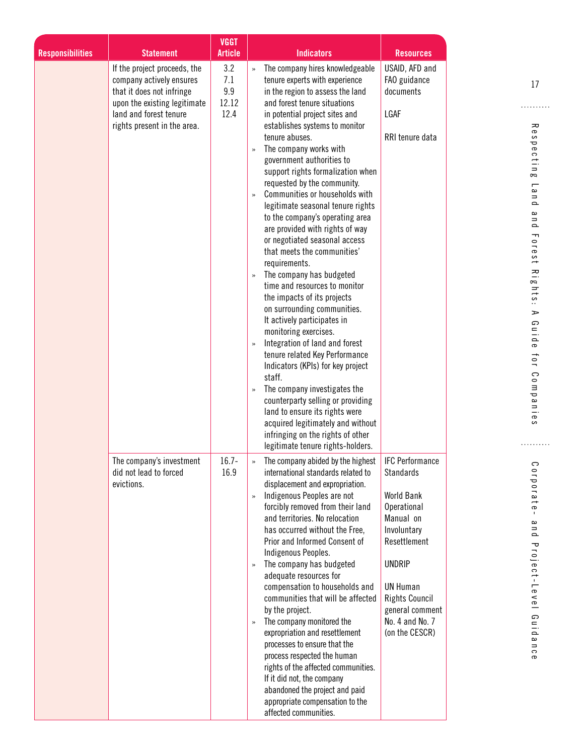|                         |                                                                                                                                                                                | <b>VGGT</b>                        |                                                                                                                                                                                                                                                                                                                                                                                                                                                                                                                                                                                                                                                                                                                                                                                                                                                                                                                                                                                                                                                                                                                                                                                                       |                                                                                                                                                                                                                                                 |                                                                                                                                                                          |
|-------------------------|--------------------------------------------------------------------------------------------------------------------------------------------------------------------------------|------------------------------------|-------------------------------------------------------------------------------------------------------------------------------------------------------------------------------------------------------------------------------------------------------------------------------------------------------------------------------------------------------------------------------------------------------------------------------------------------------------------------------------------------------------------------------------------------------------------------------------------------------------------------------------------------------------------------------------------------------------------------------------------------------------------------------------------------------------------------------------------------------------------------------------------------------------------------------------------------------------------------------------------------------------------------------------------------------------------------------------------------------------------------------------------------------------------------------------------------------|-------------------------------------------------------------------------------------------------------------------------------------------------------------------------------------------------------------------------------------------------|--------------------------------------------------------------------------------------------------------------------------------------------------------------------------|
| <b>Responsibilities</b> | <b>Statement</b>                                                                                                                                                               | <b>Article</b>                     | <b>Indicators</b>                                                                                                                                                                                                                                                                                                                                                                                                                                                                                                                                                                                                                                                                                                                                                                                                                                                                                                                                                                                                                                                                                                                                                                                     | <b>Resources</b>                                                                                                                                                                                                                                |                                                                                                                                                                          |
|                         | If the project proceeds, the<br>company actively ensures<br>that it does not infringe<br>upon the existing legitimate<br>land and forest tenure<br>rights present in the area. | 3.2<br>7.1<br>9.9<br>12.12<br>12.4 | The company hires knowledgeable<br>$\rightarrow$<br>tenure experts with experience<br>in the region to assess the land<br>and forest tenure situations<br>in potential project sites and<br>establishes systems to monitor<br>tenure abuses.<br>The company works with<br>$\rightarrow$<br>government authorities to<br>support rights formalization when<br>requested by the community.<br>Communities or households with<br>$\rightarrow$<br>legitimate seasonal tenure rights<br>to the company's operating area<br>are provided with rights of way<br>or negotiated seasonal access<br>that meets the communities'<br>requirements.<br>The company has budgeted<br>$\rightarrow$<br>time and resources to monitor<br>the impacts of its projects<br>on surrounding communities.<br>It actively participates in<br>monitoring exercises.<br>Integration of land and forest<br>$\rightarrow$<br>tenure related Key Performance<br>Indicators (KPIs) for key project<br>staff.<br>The company investigates the<br>counterparty selling or providing<br>land to ensure its rights were<br>acquired legitimately and without<br>infringing on the rights of other<br>legitimate tenure rights-holders. | USAID, AFD and<br>FAO guidance<br>documents<br>LGAF<br>RRI tenure data                                                                                                                                                                          | 17<br>Res<br>pectin<br>œ<br>$\blacksquare$<br>$\bf{c}$<br>$\equiv$<br>$\Omega$<br>$\bf{c}$<br>$\overline{a}$<br>Forest<br>Rights:<br>⋗<br>G<br>iuide<br>101<br>Companies |
|                         | The company's investment<br>did not lead to forced<br>evictions.                                                                                                               | $16.7 -$<br>16.9                   | The company abided by the highest<br>international standards related to<br>displacement and expropriation.<br>Indigenous Peoples are not<br>forcibly removed from their land<br>and territories. No relocation<br>has occurred without the Free,<br>Prior and Informed Consent of<br>Indigenous Peoples.<br>The company has budgeted<br>adequate resources for<br>compensation to households and<br>communities that will be affected<br>by the project.<br>The company monitored the<br>$\rightarrow$<br>expropriation and resettlement<br>processes to ensure that the<br>process respected the human<br>rights of the affected communities.<br>If it did not, the company<br>abandoned the project and paid<br>appropriate compensation to the<br>affected communities.                                                                                                                                                                                                                                                                                                                                                                                                                            | <b>IFC Performance</b><br><b>Standards</b><br><b>World Bank</b><br>Operational<br>Manual on<br>Involuntary<br>Resettlement<br><b>UNDRIP</b><br><b>UN Human</b><br><b>Rights Council</b><br>general comment<br>No. 4 and No. 7<br>(on the CESCR) | ິ<br>orporate<br>$\bf \omega$<br>u q<br>Project-Level<br>Guidance                                                                                                        |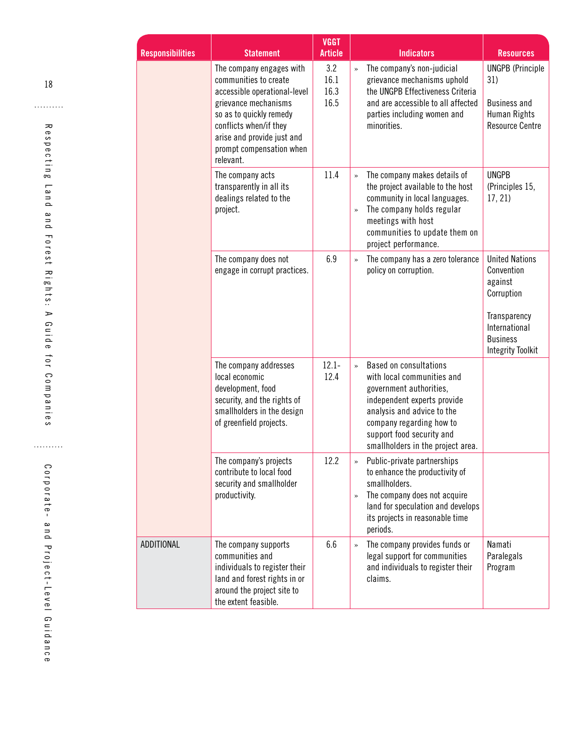| <b>Responsibilities</b> | <b>Statement</b>                                                                                                                                                                                                                      | <b>VGGT</b><br><b>Article</b> |                        | <b>Indicators</b>                                                                                                                                                                                                                                 | <b>Resources</b>                                                                                                                             |
|-------------------------|---------------------------------------------------------------------------------------------------------------------------------------------------------------------------------------------------------------------------------------|-------------------------------|------------------------|---------------------------------------------------------------------------------------------------------------------------------------------------------------------------------------------------------------------------------------------------|----------------------------------------------------------------------------------------------------------------------------------------------|
|                         | The company engages with<br>communities to create<br>accessible operational-level<br>grievance mechanisms<br>so as to quickly remedy<br>conflicts when/if they<br>arise and provide just and<br>prompt compensation when<br>relevant. | 3.2<br>16.1<br>16.3<br>16.5   | $\rightarrow$          | The company's non-judicial<br>grievance mechanisms uphold<br>the UNGPB Effectiveness Criteria<br>and are accessible to all affected<br>parties including women and<br>minorities.                                                                 | <b>UNGPB</b> (Principle<br>31)<br><b>Business and</b><br>Human Rights<br><b>Resource Centre</b>                                              |
|                         | The company acts<br>transparently in all its<br>dealings related to the<br>project.                                                                                                                                                   | 11.4                          | $\rightarrow$<br>$\gg$ | The company makes details of<br>the project available to the host<br>community in local languages.<br>The company holds regular<br>meetings with host<br>communities to update them on<br>project performance.                                    | <b>UNGPB</b><br>(Principles 15,<br>17, 21)                                                                                                   |
|                         | The company does not<br>engage in corrupt practices.                                                                                                                                                                                  | 6.9                           | $\rightarrow$          | The company has a zero tolerance<br>policy on corruption.                                                                                                                                                                                         | <b>United Nations</b><br>Convention<br>against<br>Corruption<br>Transparency<br>International<br><b>Business</b><br><b>Integrity Toolkit</b> |
|                         | The company addresses<br>local economic<br>development, food<br>security, and the rights of<br>smallholders in the design<br>of greenfield projects.                                                                                  | $12.1 -$<br>12.4              | $\rightarrow$          | <b>Based on consultations</b><br>with local communities and<br>government authorities,<br>independent experts provide<br>analysis and advice to the<br>company regarding how to<br>support food security and<br>smallholders in the project area. |                                                                                                                                              |
|                         | The company's projects<br>contribute to local food<br>security and smallholder<br>productivity.                                                                                                                                       | 12.2                          | $\gg$<br>$\gg$         | Public-private partnerships<br>to enhance the productivity of<br>smallholders.<br>The company does not acquire<br>land for speculation and develops<br>its projects in reasonable time<br>periods.                                                |                                                                                                                                              |
| ADDITIONAL              | The company supports<br>communities and<br>individuals to register their<br>land and forest rights in or<br>around the project site to<br>the extent feasible.                                                                        | 6.6                           | $\gg$                  | The company provides funds or<br>legal support for communities<br>and individuals to register their<br>claims.                                                                                                                                    | Namati<br>Paralegals<br>Program                                                                                                              |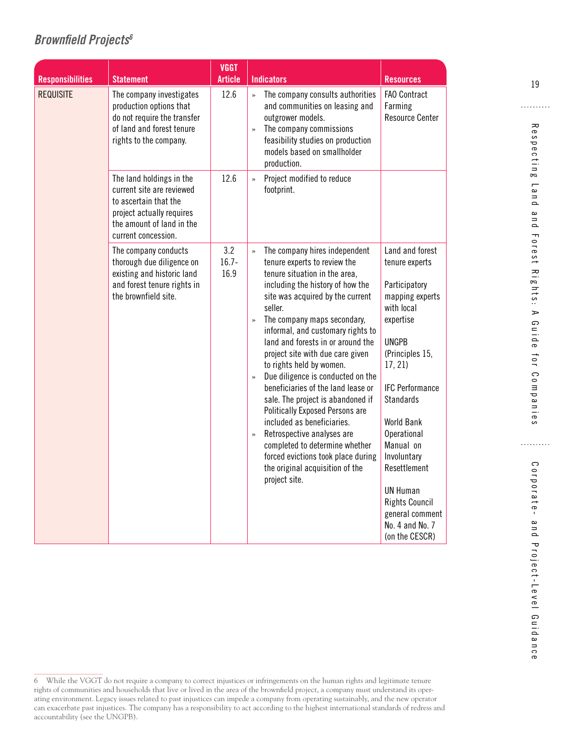## <span id="page-26-0"></span>*Brownfield Projects6*

| <b>Responsibilities</b> | <b>Statement</b>                                                                                                                                                | <b>VGGT</b><br><b>Article</b> | <b>Indicators</b>                                                                                                                                                                                                                                                                                                                                                                                                                                                                                                                                                                                                                                                                                                                                             | <b>Resources</b>                                                                                                                                                                                                                                                                                                                                                         |
|-------------------------|-----------------------------------------------------------------------------------------------------------------------------------------------------------------|-------------------------------|---------------------------------------------------------------------------------------------------------------------------------------------------------------------------------------------------------------------------------------------------------------------------------------------------------------------------------------------------------------------------------------------------------------------------------------------------------------------------------------------------------------------------------------------------------------------------------------------------------------------------------------------------------------------------------------------------------------------------------------------------------------|--------------------------------------------------------------------------------------------------------------------------------------------------------------------------------------------------------------------------------------------------------------------------------------------------------------------------------------------------------------------------|
| <b>REQUISITE</b>        | The company investigates<br>production options that<br>do not require the transfer<br>of land and forest tenure<br>rights to the company.                       | 12.6                          | The company consults authorities<br>$\mathbf{v}$<br>and communities on leasing and<br>outgrower models.<br>The company commissions<br>$\rightarrow$<br>feasibility studies on production<br>models based on smallholder<br>production.                                                                                                                                                                                                                                                                                                                                                                                                                                                                                                                        | <b>FAO Contract</b><br>Farming<br><b>Resource Center</b>                                                                                                                                                                                                                                                                                                                 |
|                         | The land holdings in the<br>current site are reviewed<br>to ascertain that the<br>project actually requires<br>the amount of land in the<br>current concession. | 12.6                          | Project modified to reduce<br>$\rightarrow$<br>footprint.                                                                                                                                                                                                                                                                                                                                                                                                                                                                                                                                                                                                                                                                                                     |                                                                                                                                                                                                                                                                                                                                                                          |
|                         | The company conducts<br>thorough due diligence on<br>existing and historic land<br>and forest tenure rights in<br>the brownfield site.                          | 3.2<br>$16.7 -$<br>16.9       | The company hires independent<br>$\rightarrow$<br>tenure experts to review the<br>tenure situation in the area,<br>including the history of how the<br>site was acquired by the current<br>seller.<br>The company maps secondary,<br>»<br>informal, and customary rights to<br>land and forests in or around the<br>project site with due care given<br>to rights held by women.<br>Due diligence is conducted on the<br>$\rightarrow$<br>beneficiaries of the land lease or<br>sale. The project is abandoned if<br>Politically Exposed Persons are<br>included as beneficiaries.<br>Retrospective analyses are<br>$\rightarrow$<br>completed to determine whether<br>forced evictions took place during<br>the original acquisition of the<br>project site. | Land and forest<br>tenure experts<br>Participatory<br>mapping experts<br>with local<br>expertise<br><b>UNGPB</b><br>(Principles 15,<br>17, 21<br><b>IFC Performance</b><br><b>Standards</b><br>World Bank<br>Operational<br>Manual on<br>Involuntary<br>Resettlement<br><b>UN Human</b><br><b>Rights Council</b><br>general comment<br>No. 4 and No. 7<br>(on the CESCR) |

19

<sup>6</sup> While the VGGT do not require a company to correct injustices or infringements on the human rights and legitimate tenure rights of communities and households that live or lived in the area of the brownfield project, a company must understand its operating environment. Legacy issues related to past injustices can impede a company from operating sustainably, and the new operator can exacerbate past injustices. The company has a responsibility to act according to the highest international standards of redress and accountability (see the UNGPB).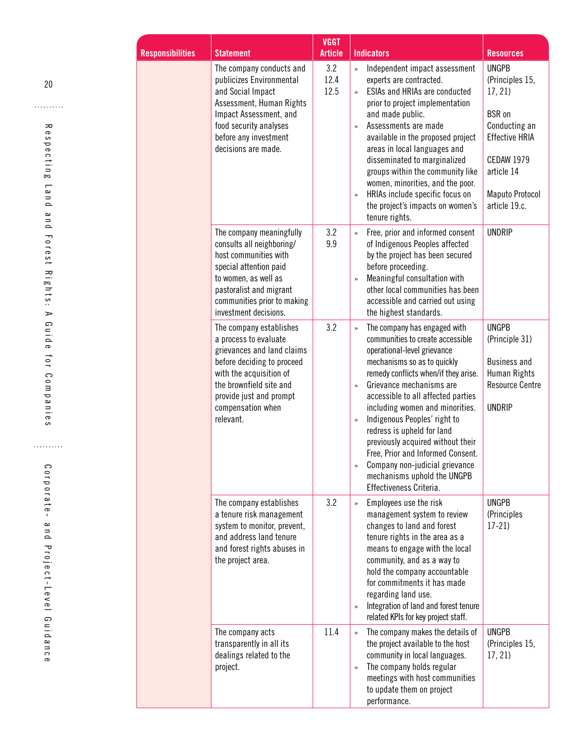| <b>onsibilities</b> |                                                                                                                                                                                                                                 | <b>VGGT</b><br><b>Article</b> | <b>Indicators</b>                                                                                                                                                                                                                                                                                                                                                                                                                                                                                                                                           |                                                                                                                                                                                                        |
|---------------------|---------------------------------------------------------------------------------------------------------------------------------------------------------------------------------------------------------------------------------|-------------------------------|-------------------------------------------------------------------------------------------------------------------------------------------------------------------------------------------------------------------------------------------------------------------------------------------------------------------------------------------------------------------------------------------------------------------------------------------------------------------------------------------------------------------------------------------------------------|--------------------------------------------------------------------------------------------------------------------------------------------------------------------------------------------------------|
|                     | <b>Statement</b><br>The company conducts and<br>publicizes Environmental<br>and Social Impact<br>Assessment, Human Rights<br>Impact Assessment, and<br>food security analyses<br>before any investment<br>decisions are made.   | 3.2<br>12.4<br>12.5           | Independent impact assessment<br>$\gg$<br>experts are contracted.<br>ESIAs and HRIAs are conducted<br>$\rightarrow$<br>prior to project implementation<br>and made public.<br>Assessments are made<br>$\rightarrow$<br>available in the proposed project<br>areas in local languages and<br>disseminated to marginalized<br>groups within the community like<br>women, minorities, and the poor.<br>HRIAs include specific focus on<br>$\gg$<br>the project's impacts on women's<br>tenure rights.                                                          | <b>Resources</b><br><b>UNGPB</b><br>(Principles 15,<br>17, 21<br><b>BSR</b> on<br>Conducting an<br><b>Effective HRIA</b><br><b>CEDAW 1979</b><br>article 14<br><b>Maputo Protocol</b><br>article 19.c. |
|                     | The company meaningfully<br>consults all neighboring/<br>host communities with<br>special attention paid<br>to women, as well as<br>pastoralist and migrant<br>communities prior to making<br>investment decisions.             | 3.2<br>9.9                    | Free, prior and informed consent<br>$\gg$<br>of Indigenous Peoples affected<br>by the project has been secured<br>before proceeding.<br>Meaningful consultation with<br>$\gg$<br>other local communities has been<br>accessible and carried out using<br>the highest standards.                                                                                                                                                                                                                                                                             | <b>UNDRIP</b>                                                                                                                                                                                          |
|                     | The company establishes<br>a process to evaluate<br>grievances and land claims<br>before deciding to proceed<br>with the acquisition of<br>the brownfield site and<br>provide just and prompt<br>compensation when<br>relevant. | 3.2                           | The company has engaged with<br>$\rightarrow$<br>communities to create accessible<br>operational-level grievance<br>mechanisms so as to quickly<br>remedy conflicts when/if they arise.<br>Grievance mechanisms are<br>$\gg$<br>accessible to all affected parties<br>including women and minorities.<br>Indigenous Peoples' right to<br>$\gg$<br>redress is upheld for land<br>previously acquired without their<br>Free, Prior and Informed Consent.<br>Company non-judicial grievance<br>$\gg$<br>mechanisms uphold the UNGPB<br>Effectiveness Criteria. | <b>UNGPB</b><br>(Principle 31)<br><b>Business and</b><br>Human Rights<br><b>Resource Centre</b><br><b>UNDRIP</b>                                                                                       |
|                     | The company establishes<br>a tenure risk management<br>system to monitor, prevent,<br>and address land tenure<br>and forest rights abuses in<br>the project area.                                                               | 3.2                           | Employees use the risk<br>$\gg$<br>management system to review<br>changes to land and forest<br>tenure rights in the area as a<br>means to engage with the local<br>community, and as a way to<br>hold the company accountable<br>for commitments it has made<br>regarding land use.<br>Integration of land and forest tenure<br>$\gg$<br>related KPIs for key project staff.                                                                                                                                                                               | <b>UNGPB</b><br>(Principles<br>$17-21)$                                                                                                                                                                |
|                     | The company acts<br>transparently in all its<br>dealings related to the<br>project.                                                                                                                                             | 11.4                          | The company makes the details of<br>$\gg$<br>the project available to the host<br>community in local languages.<br>The company holds regular<br>$\gg$<br>meetings with host communities<br>to update them on project<br>performance.                                                                                                                                                                                                                                                                                                                        | <b>UNGPB</b><br>(Principles 15,<br>17, 21                                                                                                                                                              |

. . . . . . . . . .

**Resp**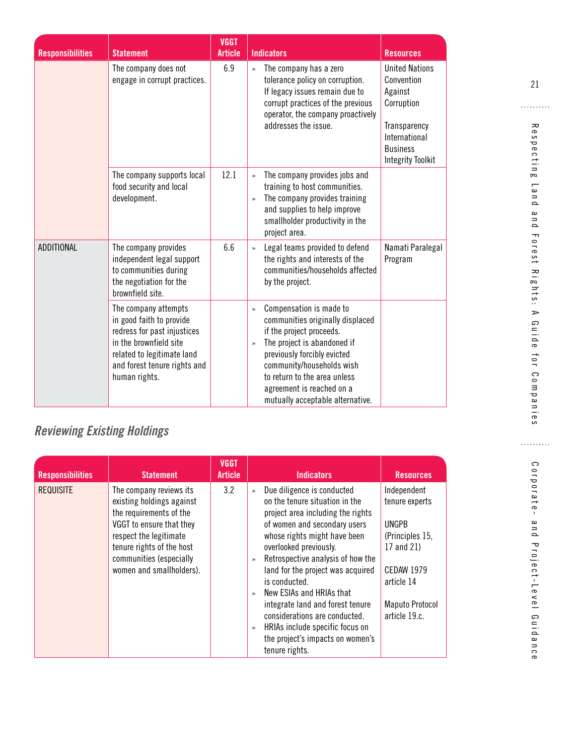| <b>Responsibilities</b> | <b>Statement</b>                                                                                                                                                                         | <b>VGGT</b><br><b>Article</b> | <b>Indicators</b>                                                                                                                                                                                                                                                                                                     | <b>Resources</b>                                                                                                                             |
|-------------------------|------------------------------------------------------------------------------------------------------------------------------------------------------------------------------------------|-------------------------------|-----------------------------------------------------------------------------------------------------------------------------------------------------------------------------------------------------------------------------------------------------------------------------------------------------------------------|----------------------------------------------------------------------------------------------------------------------------------------------|
|                         | The company does not<br>engage in corrupt practices.                                                                                                                                     | 6.9                           | The company has a zero<br>$\rightarrow$<br>tolerance policy on corruption.<br>If legacy issues remain due to<br>corrupt practices of the previous<br>operator, the company proactively<br>addresses the issue.                                                                                                        | <b>United Nations</b><br>Convention<br>Against<br>Corruption<br>Transparency<br>International<br><b>Business</b><br><b>Integrity Toolkit</b> |
|                         | The company supports local<br>food security and local<br>development.                                                                                                                    | 12.1                          | The company provides jobs and<br>$\rightarrow$<br>training to host communities.<br>The company provides training<br>$\rightarrow$<br>and supplies to help improve<br>smallholder productivity in the<br>project area.                                                                                                 |                                                                                                                                              |
| <b>ADDITIONAL</b>       | The company provides<br>independent legal support<br>to communities during<br>the negotiation for the<br>brownfield site.                                                                | 6.6                           | Legal teams provided to defend<br>$\rightarrow$<br>the rights and interests of the<br>communities/households affected<br>by the project.                                                                                                                                                                              | Namati Paralegal<br>Program                                                                                                                  |
|                         | The company attempts<br>in good faith to provide<br>redress for past injustices<br>in the brownfield site<br>related to legitimate land<br>and forest tenure rights and<br>human rights. |                               | Compensation is made to<br>$\rightarrow$<br>communities originally displaced<br>if the project proceeds.<br>The project is abandoned if<br>$\rightarrow$<br>previously forcibly evicted<br>community/households wish<br>to return to the area unless<br>agreement is reached on a<br>mutually acceptable alternative. |                                                                                                                                              |

# *Reviewing Existing Holdings*

| <b>Responsibilities</b> | <b>Statement</b>                                                                                                                                                                                                          | <b>VGGT</b><br><b>Article</b> | <b>Indicators</b>                                                                                                                                                                                                                                                                                                                                                                                                                                                                                                                            | <b>Resources</b>                                                                                                                                             |
|-------------------------|---------------------------------------------------------------------------------------------------------------------------------------------------------------------------------------------------------------------------|-------------------------------|----------------------------------------------------------------------------------------------------------------------------------------------------------------------------------------------------------------------------------------------------------------------------------------------------------------------------------------------------------------------------------------------------------------------------------------------------------------------------------------------------------------------------------------------|--------------------------------------------------------------------------------------------------------------------------------------------------------------|
| <b>REQUISITE</b>        | The company reviews its<br>existing holdings against<br>the requirements of the<br>VGGT to ensure that they<br>respect the legitimate<br>tenure rights of the host<br>communities (especially<br>women and smallholders). | 3.2                           | Due diligence is conducted<br>$\rightarrow$<br>on the tenure situation in the<br>project area including the rights<br>of women and secondary users<br>whose rights might have been<br>overlooked previously.<br>Retrospective analysis of how the<br>$\rightarrow$<br>land for the project was acquired<br>is conducted.<br>New ESIAs and HRIAs that<br>$\rightarrow$<br>integrate land and forest tenure<br>considerations are conducted.<br>HRIAs include specific focus on<br>$\gg$<br>the project's impacts on women's<br>tenure rights. | Independent<br>tenure experts<br><b>UNGPB</b><br>(Principles 15,<br>17 and 21)<br><b>CEDAW 1979</b><br>article 14<br><b>Maputo Protocol</b><br>article 19.c. |

21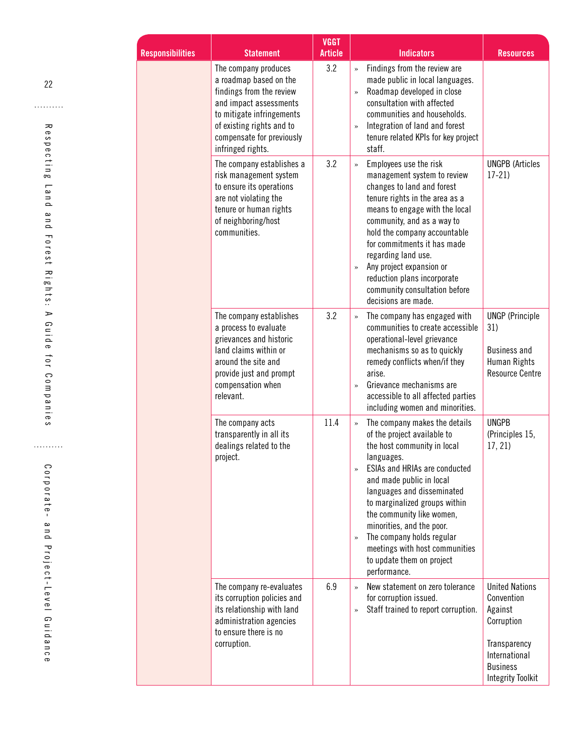| <b>Responsibilities</b> | <b>Statement</b>                                                                                                                                                                                                 | <b>VGGT</b><br><b>Article</b> | <b>Indicators</b>                                                                                                                                                                                                                                                                                                                                                                                                                                 | <b>Resources</b>                                                                                                                             |
|-------------------------|------------------------------------------------------------------------------------------------------------------------------------------------------------------------------------------------------------------|-------------------------------|---------------------------------------------------------------------------------------------------------------------------------------------------------------------------------------------------------------------------------------------------------------------------------------------------------------------------------------------------------------------------------------------------------------------------------------------------|----------------------------------------------------------------------------------------------------------------------------------------------|
|                         | The company produces<br>a roadmap based on the<br>findings from the review<br>and impact assessments<br>to mitigate infringements<br>of existing rights and to<br>compensate for previously<br>infringed rights. | 3.2                           | Findings from the review are<br>$\rightarrow$<br>made public in local languages.<br>Roadmap developed in close<br>$\rightarrow$<br>consultation with affected<br>communities and households.<br>Integration of land and forest<br>$\gg$<br>tenure related KPIs for key project<br>staff.                                                                                                                                                          |                                                                                                                                              |
|                         | The company establishes a<br>risk management system<br>to ensure its operations<br>are not violating the<br>tenure or human rights<br>of neighboring/host<br>communities.                                        | 3.2                           | Employees use the risk<br>$\rightarrow$<br>management system to review<br>changes to land and forest<br>tenure rights in the area as a<br>means to engage with the local<br>community, and as a way to<br>hold the company accountable<br>for commitments it has made<br>regarding land use.<br>Any project expansion or<br>$\rightarrow$<br>reduction plans incorporate<br>community consultation before<br>decisions are made.                  | <b>UNGPB (Articles</b><br>$17-21$                                                                                                            |
|                         | The company establishes<br>a process to evaluate<br>grievances and historic<br>land claims within or<br>around the site and<br>provide just and prompt<br>compensation when<br>relevant.                         | 3.2                           | The company has engaged with<br>communities to create accessible<br>operational-level grievance<br>mechanisms so as to quickly<br>remedy conflicts when/if they<br>arise.<br>Grievance mechanisms are<br>$\rightarrow$<br>accessible to all affected parties<br>including women and minorities.                                                                                                                                                   | <b>UNGP</b> (Principle<br>31)<br><b>Business and</b><br><b>Human Rights</b><br><b>Resource Centre</b>                                        |
|                         | The company acts<br>transparently in all its<br>dealings related to the<br>project.                                                                                                                              | 11.4                          | The company makes the details<br>$\rightarrow$<br>of the project available to<br>the host community in local<br>languages.<br><b>ESIAs and HRIAs are conducted</b><br>»<br>and made public in local<br>languages and disseminated<br>to marginalized groups within<br>the community like women,<br>minorities, and the poor.<br>The company holds regular<br>$\gg$<br>meetings with host communities<br>to update them on project<br>performance. | <b>UNGPB</b><br>(Principles 15,<br>17, 21                                                                                                    |
|                         | The company re-evaluates<br>its corruption policies and<br>its relationship with land<br>administration agencies<br>to ensure there is no<br>corruption.                                                         | 6.9                           | New statement on zero tolerance<br>for corruption issued.<br>Staff trained to report corruption.<br>»                                                                                                                                                                                                                                                                                                                                             | <b>United Nations</b><br>Convention<br>Against<br>Corruption<br>Transparency<br>International<br><b>Business</b><br><b>Integrity Toolkit</b> |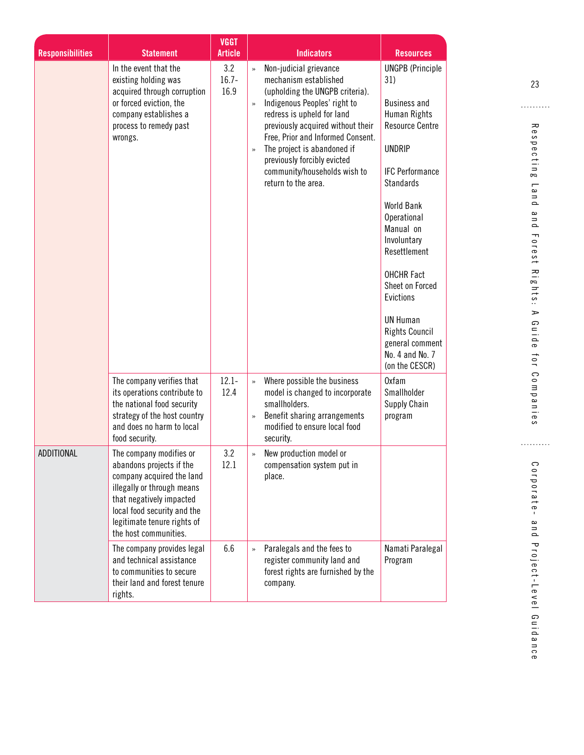|                         |                                                                                                                                                                                                                                   | <b>VGGT</b>                               |                                                                                                                                                                                                                                                                                                                                                                                                                                                                                                                                                                                                                                                                                                                                                                                                                                                 |
|-------------------------|-----------------------------------------------------------------------------------------------------------------------------------------------------------------------------------------------------------------------------------|-------------------------------------------|-------------------------------------------------------------------------------------------------------------------------------------------------------------------------------------------------------------------------------------------------------------------------------------------------------------------------------------------------------------------------------------------------------------------------------------------------------------------------------------------------------------------------------------------------------------------------------------------------------------------------------------------------------------------------------------------------------------------------------------------------------------------------------------------------------------------------------------------------|
| <b>Responsibilities</b> | <b>Statement</b><br>In the event that the<br>existing holding was<br>acquired through corruption<br>or forced eviction, the<br>company establishes a<br>process to remedy past<br>wrongs.                                         | <b>Article</b><br>3.2<br>$16.7 -$<br>16.9 | <b>Indicators</b><br><b>Resources</b><br>Non-judicial grievance<br><b>UNGPB</b> (Principle<br>$\rightarrow$<br>mechanism established<br>31)<br>(upholding the UNGPB criteria).<br>Indigenous Peoples' right to<br><b>Business and</b><br>$\rightarrow$<br>redress is upheld for land<br>Human Rights<br>previously acquired without their<br><b>Resource Centre</b><br>Free, Prior and Informed Consent.<br><b>UNDRIP</b><br>The project is abandoned if<br>$\rightarrow$<br>previously forcibly evicted<br>community/households wish to<br><b>IFC Performance</b><br>return to the area.<br><b>Standards</b><br>World Bank<br>Operational<br>Manual on<br>Involuntary<br>Resettlement<br><b>OHCHR Fact</b><br>Sheet on Forced<br>Evictions<br><b>UN Human</b><br><b>Rights Council</b><br>general comment<br>No. 4 and No. 7<br>(on the CESCR) |
|                         | The company verifies that<br>its operations contribute to<br>the national food security<br>strategy of the host country<br>and does no harm to local<br>food security.                                                            | $12.1 -$<br>12.4                          | <b>Oxfam</b><br>Where possible the business<br>$\rightarrow$<br>Smallholder<br>model is changed to incorporate<br>smallholders.<br>Supply Chain<br>Benefit sharing arrangements<br>program<br>$\rightarrow$<br>modified to ensure local food<br>security.                                                                                                                                                                                                                                                                                                                                                                                                                                                                                                                                                                                       |
| ADDITIONAL              | The company modifies or<br>abandons projects if the<br>company acquired the land<br>illegally or through means<br>that negatively impacted<br>local food security and the<br>legitimate tenure rights of<br>the host communities. | 3.2<br>12.1                               | New production model or<br>$\rightarrow$<br>compensation system put in<br>place.                                                                                                                                                                                                                                                                                                                                                                                                                                                                                                                                                                                                                                                                                                                                                                |
|                         | The company provides legal<br>and technical assistance<br>to communities to secure<br>their land and forest tenure<br>rights.                                                                                                     | 6.6                                       | Paralegals and the fees to<br>Namati Paralegal<br>$\rightarrow$<br>register community land and<br>Program<br>forest rights are furnished by the<br>company.                                                                                                                                                                                                                                                                                                                                                                                                                                                                                                                                                                                                                                                                                     |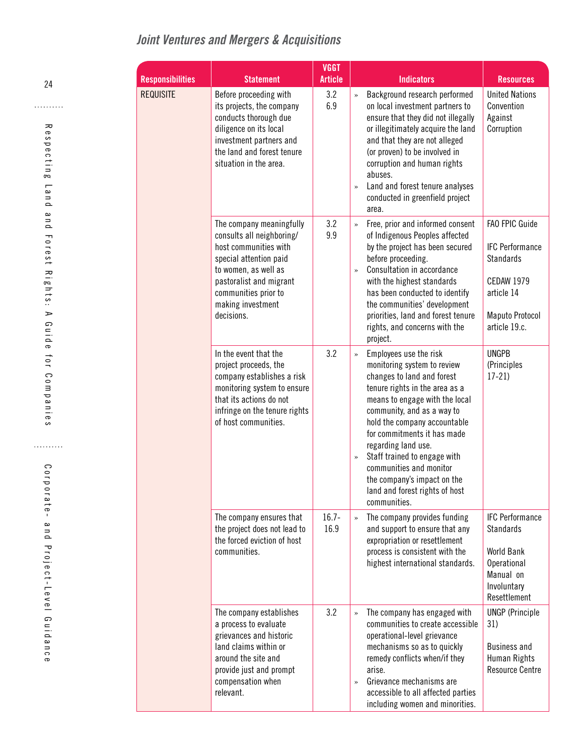# *Joint Ventures and Mergers & Acquisitions*

| <b>Responsibilities</b> | <b>Statement</b>                                                                                                                                                                                                       | <b>VGGT</b><br><b>Article</b> | <b>Indicators</b>                                                                                                                                                                                                                                                                                                                                                                                                                                         | <b>Resources</b>                                                                                                                           |
|-------------------------|------------------------------------------------------------------------------------------------------------------------------------------------------------------------------------------------------------------------|-------------------------------|-----------------------------------------------------------------------------------------------------------------------------------------------------------------------------------------------------------------------------------------------------------------------------------------------------------------------------------------------------------------------------------------------------------------------------------------------------------|--------------------------------------------------------------------------------------------------------------------------------------------|
| <b>REQUISITE</b>        | Before proceeding with<br>its projects, the company<br>conducts thorough due<br>diligence on its local<br>investment partners and<br>the land and forest tenure<br>situation in the area.                              | 3.2<br>6.9                    | Background research performed<br>$\rightarrow$<br>on local investment partners to<br>ensure that they did not illegally<br>or illegitimately acquire the land<br>and that they are not alleged<br>(or proven) to be involved in<br>corruption and human rights<br>abuses.<br>Land and forest tenure analyses<br>$\rightarrow$<br>conducted in greenfield project<br>area.                                                                                 | <b>United Nations</b><br>Convention<br>Against<br>Corruption                                                                               |
|                         | The company meaningfully<br>consults all neighboring/<br>host communities with<br>special attention paid<br>to women, as well as<br>pastoralist and migrant<br>communities prior to<br>making investment<br>decisions. | 3.2<br>9.9                    | Free, prior and informed consent<br>$\rightarrow$<br>of Indigenous Peoples affected<br>by the project has been secured<br>before proceeding.<br>Consultation in accordance<br>$\rightarrow$<br>with the highest standards<br>has been conducted to identify<br>the communities' development<br>priorities, land and forest tenure<br>rights, and concerns with the<br>project.                                                                            | FAO FPIC Guide<br><b>IFC Performance</b><br><b>Standards</b><br><b>CEDAW 1979</b><br>article 14<br><b>Maputo Protocol</b><br>article 19.c. |
|                         | In the event that the<br>project proceeds, the<br>company establishes a risk<br>monitoring system to ensure<br>that its actions do not<br>infringe on the tenure rights<br>of host communities.                        | 3.2                           | Employees use the risk<br>$\rightarrow$<br>monitoring system to review<br>changes to land and forest<br>tenure rights in the area as a<br>means to engage with the local<br>community, and as a way to<br>hold the company accountable<br>for commitments it has made<br>regarding land use.<br>Staff trained to engage with<br>$\rightarrow$<br>communities and monitor<br>the company's impact on the<br>land and forest rights of host<br>communities. | <b>UNGPB</b><br>(Principles<br>$17-21$                                                                                                     |
|                         | The company ensures that<br>the project does not lead to<br>the forced eviction of host<br>communities.                                                                                                                | $16.7 -$<br>16.9              | The company provides funding<br>$\rightarrow$<br>and support to ensure that any<br>expropriation or resettlement<br>process is consistent with the<br>highest international standards.                                                                                                                                                                                                                                                                    | <b>IFC Performance</b><br><b>Standards</b><br><b>World Bank</b><br>Operational<br>Manual on<br>Involuntary<br>Resettlement                 |
|                         | The company establishes<br>a process to evaluate<br>grievances and historic<br>land claims within or<br>around the site and<br>provide just and prompt<br>compensation when<br>relevant.                               | 3.2                           | The company has engaged with<br>communities to create accessible<br>operational-level grievance<br>mechanisms so as to quickly<br>remedy conflicts when/if they<br>arise.<br>Grievance mechanisms are<br>»<br>accessible to all affected parties<br>including women and minorities.                                                                                                                                                                       | <b>UNGP</b> (Principle<br>31)<br><b>Business and</b><br>Human Rights<br><b>Resource Centre</b>                                             |

<span id="page-31-0"></span>24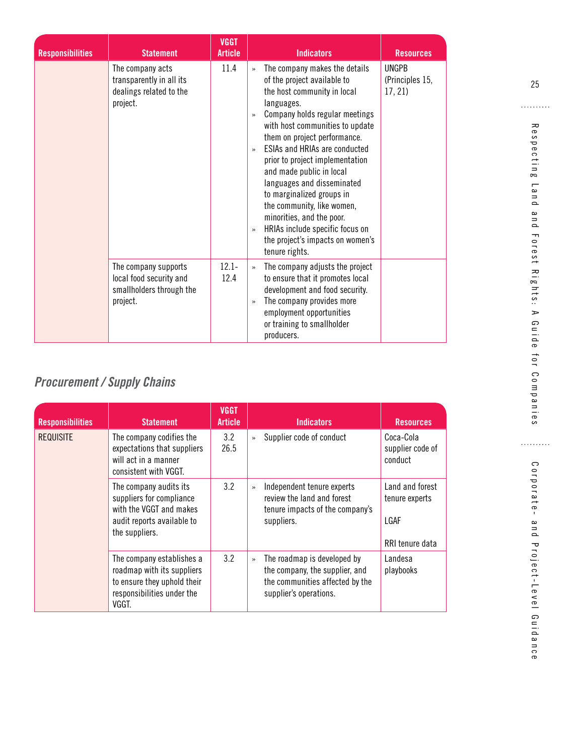<span id="page-32-0"></span>

| <b>Responsibilities</b> | <b>Statement</b>                                                                        | <b>VGGT</b><br><b>Article</b> | <b>Indicators</b><br><b>Resources</b>                                                                                                                                                                                                                                                                                                                                                                                                                                                                                                                                                                                                          |
|-------------------------|-----------------------------------------------------------------------------------------|-------------------------------|------------------------------------------------------------------------------------------------------------------------------------------------------------------------------------------------------------------------------------------------------------------------------------------------------------------------------------------------------------------------------------------------------------------------------------------------------------------------------------------------------------------------------------------------------------------------------------------------------------------------------------------------|
|                         | The company acts<br>transparently in all its<br>dealings related to the<br>project.     | 11.4                          | <b>UNGPB</b><br>The company makes the details<br>$\rightarrow$<br>of the project available to<br>(Principles 15,<br>the host community in local<br>17, 21<br>languages.<br>Company holds regular meetings<br>$\rightarrow$<br>with host communities to update<br>them on project performance.<br>ESIAs and HRIAs are conducted<br>$\mathcal{P}$<br>prior to project implementation<br>and made public in local<br>languages and disseminated<br>to marginalized groups in<br>the community, like women,<br>minorities, and the poor.<br>HRIAs include specific focus on<br>$\rightarrow$<br>the project's impacts on women's<br>tenure rights. |
|                         | The company supports<br>local food security and<br>smallholders through the<br>project. | $12.1 -$<br>12.4              | The company adjusts the project<br>$\rightarrow$<br>to ensure that it promotes local<br>development and food security.<br>The company provides more<br>$\rightarrow$<br>employment opportunities<br>or training to smallholder<br>producers.                                                                                                                                                                                                                                                                                                                                                                                                   |

# *Procurement / Supply Chains*

| <b>Responsibilities</b> | <b>Statement</b>                                                                                                              | <b>VGGT</b><br>Article | <b>Indicators</b>                                                                                                                   | <b>Resources</b>                                             |
|-------------------------|-------------------------------------------------------------------------------------------------------------------------------|------------------------|-------------------------------------------------------------------------------------------------------------------------------------|--------------------------------------------------------------|
| <b>REQUISITE</b>        | The company codifies the<br>expectations that suppliers<br>will act in a manner<br>consistent with VGGT.                      | 3.2<br>26.5            | Supplier code of conduct<br>$\rightarrow$                                                                                           | Coca-Cola<br>supplier code of<br>conduct                     |
|                         | The company audits its<br>suppliers for compliance<br>with the VGGT and makes<br>audit reports available to<br>the suppliers. | 3.2                    | Independent tenure experts<br>$\rightarrow$<br>review the land and forest<br>tenure impacts of the company's<br>suppliers.          | Land and forest<br>tenure experts<br>LGAF<br>RRI tenure data |
|                         | The company establishes a<br>roadmap with its suppliers<br>to ensure they uphold their<br>responsibilities under the<br>VGGT. | 3.2                    | The roadmap is developed by<br>$\gg$<br>the company, the supplier, and<br>the communities affected by the<br>supplier's operations. | Landesa<br>playbooks                                         |

25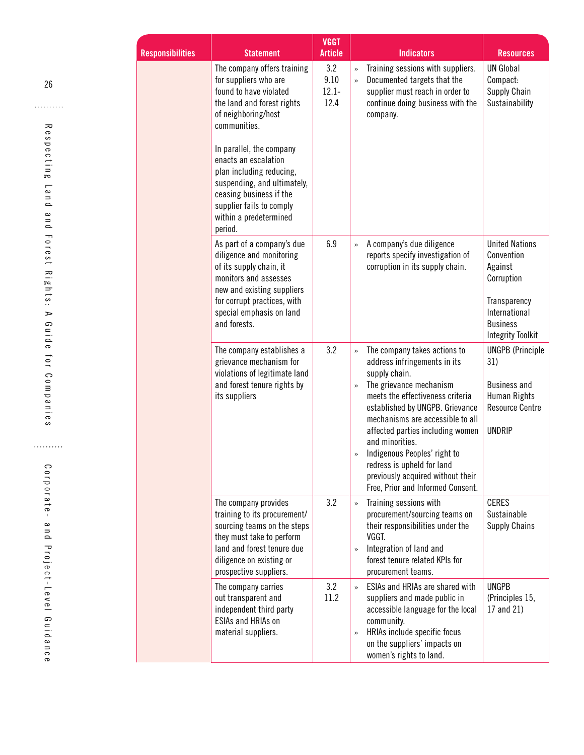| <b>Responsibilities</b> | <b>Statement</b>                                                                                                                                                                                                    | <b>VGGT</b><br><b>Article</b>   |                                  | <b>Indicators</b>                                                                                                                                                                                                                                                                                                                                                              | <b>Resources</b>                                                                                                                             |
|-------------------------|---------------------------------------------------------------------------------------------------------------------------------------------------------------------------------------------------------------------|---------------------------------|----------------------------------|--------------------------------------------------------------------------------------------------------------------------------------------------------------------------------------------------------------------------------------------------------------------------------------------------------------------------------------------------------------------------------|----------------------------------------------------------------------------------------------------------------------------------------------|
|                         | The company offers training<br>for suppliers who are<br>found to have violated<br>the land and forest rights<br>of neighboring/host<br>communities.<br>In parallel, the company<br>enacts an escalation             | 3.2<br>9.10<br>$12.1 -$<br>12.4 | company.                         | Training sessions with suppliers.<br>Documented targets that the<br>supplier must reach in order to<br>continue doing business with the                                                                                                                                                                                                                                        | <b>UN Global</b><br>Compact:<br>Supply Chain<br>Sustainability                                                                               |
|                         | plan including reducing,<br>suspending, and ultimately,<br>ceasing business if the<br>supplier fails to comply<br>within a predetermined<br>period.                                                                 |                                 |                                  |                                                                                                                                                                                                                                                                                                                                                                                |                                                                                                                                              |
|                         | As part of a company's due<br>diligence and monitoring<br>of its supply chain, it<br>monitors and assesses<br>new and existing suppliers<br>for corrupt practices, with<br>special emphasis on land<br>and forests. | 6.9                             |                                  | A company's due diligence<br>reports specify investigation of<br>corruption in its supply chain.                                                                                                                                                                                                                                                                               | <b>United Nations</b><br>Convention<br>Against<br>Corruption<br>Transparency<br>International<br><b>Business</b><br><b>Integrity Toolkit</b> |
|                         | The company establishes a<br>grievance mechanism for<br>violations of legitimate land<br>and forest tenure rights by<br>its suppliers                                                                               | 3.2                             | supply chain.<br>and minorities. | The company takes actions to<br>address infringements in its<br>The grievance mechanism<br>meets the effectiveness criteria<br>established by UNGPB. Grievance<br>mechanisms are accessible to all<br>affected parties including women<br>Indigenous Peoples' right to<br>redress is upheld for land<br>previously acquired without their<br>Free, Prior and Informed Consent. | <b>UNGPB</b> (Principle<br>31)<br><b>Business and</b><br>Human Rights<br><b>Resource Centre</b><br><b>UNDRIP</b>                             |
|                         | The company provides<br>training to its procurement/<br>sourcing teams on the steps<br>they must take to perform<br>land and forest tenure due<br>diligence on existing or<br>prospective suppliers.                | 3.2                             | VGGT.                            | Training sessions with<br>procurement/sourcing teams on<br>their responsibilities under the<br>Integration of land and<br>forest tenure related KPIs for<br>procurement teams.                                                                                                                                                                                                 | <b>CERES</b><br>Sustainable<br><b>Supply Chains</b>                                                                                          |
|                         | The company carries<br>out transparent and<br>independent third party<br><b>ESIAs and HRIAs on</b><br>material suppliers.                                                                                           | 3.2<br>11.2                     | community.                       | ESIAs and HRIAs are shared with<br>suppliers and made public in<br>accessible language for the local<br>HRIAs include specific focus<br>on the suppliers' impacts on<br>women's rights to land.                                                                                                                                                                                | <b>UNGPB</b><br>(Principles 15,<br>17 and 21)                                                                                                |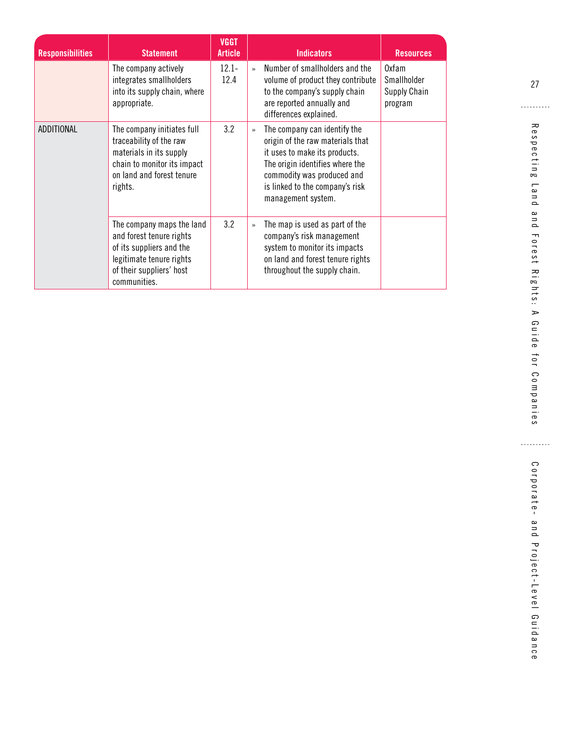| <b>Responsibilities</b> | <b>Statement</b>                                                                                                                                          | <b>VGGT</b><br><b>Article</b> | <b>Indicators</b><br><b>Resources</b>                                                                                                                                                                                                        |
|-------------------------|-----------------------------------------------------------------------------------------------------------------------------------------------------------|-------------------------------|----------------------------------------------------------------------------------------------------------------------------------------------------------------------------------------------------------------------------------------------|
|                         | The company actively<br>integrates smallholders<br>into its supply chain, where<br>appropriate.                                                           | $12.1 -$<br>12.4              | Number of smallholders and the<br>Oxfam<br>$\rightarrow$<br>Smallholder<br>volume of product they contribute<br>to the company's supply chain<br>Supply Chain<br>are reported annually and<br>program<br>differences explained.              |
| ADDITIONAL              | The company initiates full<br>traceability of the raw<br>materials in its supply<br>chain to monitor its impact<br>on land and forest tenure<br>rights.   | 3.2                           | The company can identify the<br>$\rightarrow$<br>origin of the raw materials that<br>it uses to make its products.<br>The origin identifies where the<br>commodity was produced and<br>is linked to the company's risk<br>management system. |
|                         | The company maps the land<br>and forest tenure rights<br>of its suppliers and the<br>legitimate tenure rights<br>of their suppliers' host<br>communities. | 3.2                           | The map is used as part of the<br>$\rightarrow$<br>company's risk management<br>system to monitor its impacts<br>on land and forest tenure rights<br>throughout the supply chain.                                                            |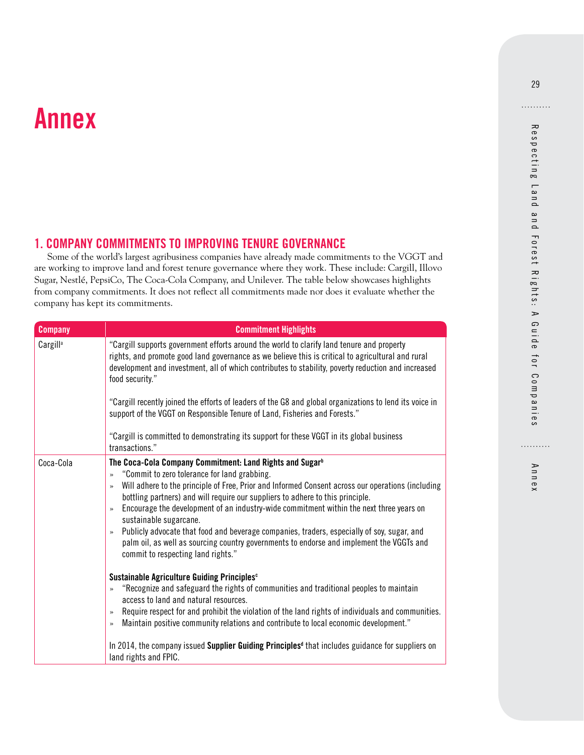# <span id="page-36-0"></span>**Annex**

## **1. COMPANY COMMITMENTS TO IMPROVING TENURE GOVERNANCE**

Some of the world's largest agribusiness companies have already made commitments to the VGGT and are working to improve land and forest tenure governance where they work. These include: Cargill, Illovo Sugar, Nestlé, PepsiCo, The Coca-Cola Company, and Unilever. The table below showcases highlights from company commitments. It does not reflect all commitments made nor does it evaluate whether the company has kept its commitments.

| <b>Company</b>       | <b>Commitment Highlights</b>                                                                                                                                                                                                                                                                                                                                                                                                                                                                                                                                                                                                                                                                                                 |
|----------------------|------------------------------------------------------------------------------------------------------------------------------------------------------------------------------------------------------------------------------------------------------------------------------------------------------------------------------------------------------------------------------------------------------------------------------------------------------------------------------------------------------------------------------------------------------------------------------------------------------------------------------------------------------------------------------------------------------------------------------|
| Cargill <sup>a</sup> | "Cargill supports government efforts around the world to clarify land tenure and property<br>rights, and promote good land governance as we believe this is critical to agricultural and rural<br>development and investment, all of which contributes to stability, poverty reduction and increased<br>food security."                                                                                                                                                                                                                                                                                                                                                                                                      |
|                      | "Cargill recently joined the efforts of leaders of the G8 and global organizations to lend its voice in<br>support of the VGGT on Responsible Tenure of Land, Fisheries and Forests."                                                                                                                                                                                                                                                                                                                                                                                                                                                                                                                                        |
|                      | "Cargill is committed to demonstrating its support for these VGGT in its global business<br>transactions."                                                                                                                                                                                                                                                                                                                                                                                                                                                                                                                                                                                                                   |
| Coca-Cola            | The Coca-Cola Company Commitment: Land Rights and Sugar <sup>b</sup><br>"Commit to zero tolerance for land grabbing.<br>$\rightarrow$<br>Will adhere to the principle of Free, Prior and Informed Consent across our operations (including<br>$\rightarrow$<br>bottling partners) and will require our suppliers to adhere to this principle.<br>Encourage the development of an industry-wide commitment within the next three years on<br>$\gg$<br>sustainable sugarcane.<br>Publicly advocate that food and beverage companies, traders, especially of soy, sugar, and<br>$\rightarrow$<br>palm oil, as well as sourcing country governments to endorse and implement the VGGTs and<br>commit to respecting land rights." |
|                      | Sustainable Agriculture Guiding Principles <sup>c</sup><br>"Recognize and safeguard the rights of communities and traditional peoples to maintain<br>$\gg$<br>access to land and natural resources.<br>Require respect for and prohibit the violation of the land rights of individuals and communities.<br>$\gg$<br>Maintain positive community relations and contribute to local economic development."<br>$\rightarrow$                                                                                                                                                                                                                                                                                                   |
|                      | In 2014, the company issued Supplier Guiding Principles <sup>d</sup> that includes guidance for suppliers on<br>land rights and FPIC.                                                                                                                                                                                                                                                                                                                                                                                                                                                                                                                                                                                        |

Annex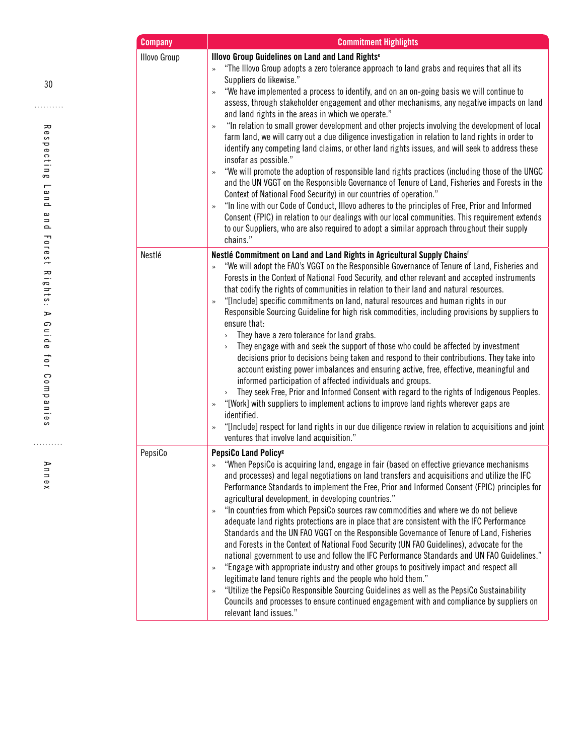| <b>Company</b> | <b>Commitment Highlights</b>                                                                                                                                                                                                                                                                                                                                                                                                                                                                                                                                                                                                                                                                                                                                                                                                                                                                                                                                                                                                                                                                                                                                                                                                                                                                                                                                                                                        |
|----------------|---------------------------------------------------------------------------------------------------------------------------------------------------------------------------------------------------------------------------------------------------------------------------------------------------------------------------------------------------------------------------------------------------------------------------------------------------------------------------------------------------------------------------------------------------------------------------------------------------------------------------------------------------------------------------------------------------------------------------------------------------------------------------------------------------------------------------------------------------------------------------------------------------------------------------------------------------------------------------------------------------------------------------------------------------------------------------------------------------------------------------------------------------------------------------------------------------------------------------------------------------------------------------------------------------------------------------------------------------------------------------------------------------------------------|
| Illovo Group   | Illovo Group Guidelines on Land and Land Rights <sup>e</sup><br>"The Illovo Group adopts a zero tolerance approach to land grabs and requires that all its<br>$\rightarrow$<br>Suppliers do likewise."<br>"We have implemented a process to identify, and on an on-going basis we will continue to<br>»<br>assess, through stakeholder engagement and other mechanisms, any negative impacts on land<br>and land rights in the areas in which we operate."<br>"In relation to small grower development and other projects involving the development of local<br>$\gg$<br>farm land, we will carry out a due diligence investigation in relation to land rights in order to<br>identify any competing land claims, or other land rights issues, and will seek to address these<br>insofar as possible."<br>"We will promote the adoption of responsible land rights practices (including those of the UNGC<br>$\gg$<br>and the UN VGGT on the Responsible Governance of Tenure of Land, Fisheries and Forests in the<br>Context of National Food Security) in our countries of operation."<br>"In line with our Code of Conduct, Illovo adheres to the principles of Free, Prior and Informed<br>$\gg$<br>Consent (FPIC) in relation to our dealings with our local communities. This requirement extends<br>to our Suppliers, who are also required to adopt a similar approach throughout their supply<br>chains." |
| Nestlé         | Nestlé Commitment on Land and Land Rights in Agricultural Supply Chains <sup>6</sup><br>"We will adopt the FAO's VGGT on the Responsible Governance of Tenure of Land, Fisheries and<br>$\gg$<br>Forests in the Context of National Food Security, and other relevant and accepted instruments<br>that codify the rights of communities in relation to their land and natural resources.<br>"[Include] specific commitments on land, natural resources and human rights in our<br>$\gg$<br>Responsible Sourcing Guideline for high risk commodities, including provisions by suppliers to<br>ensure that:<br>They have a zero tolerance for land grabs.<br>$\,$<br>They engage with and seek the support of those who could be affected by investment<br>$\,$<br>decisions prior to decisions being taken and respond to their contributions. They take into<br>account existing power imbalances and ensuring active, free, effective, meaningful and<br>informed participation of affected individuals and groups.<br>They seek Free, Prior and Informed Consent with regard to the rights of Indigenous Peoples.<br>$\,$<br>"[Work] with suppliers to implement actions to improve land rights wherever gaps are<br>$\gg$<br>identified.<br>"[Include] respect for land rights in our due diligence review in relation to acquisitions and joint<br>$\gg$<br>ventures that involve land acquisition."            |
| PepsiCo        | PepsiCo Land Policy <sup>®</sup><br>"When PepsiCo is acquiring land, engage in fair (based on effective grievance mechanisms<br>and processes) and legal negotiations on land transfers and acquisitions and utilize the IFC<br>Performance Standards to implement the Free, Prior and Informed Consent (FPIC) principles for<br>agricultural development, in developing countries."<br>"In countries from which PepsiCo sources raw commodities and where we do not believe<br>$\gg$<br>adequate land rights protections are in place that are consistent with the IFC Performance<br>Standards and the UN FAO VGGT on the Responsible Governance of Tenure of Land, Fisheries<br>and Forests in the Context of National Food Security (UN FAO Guidelines), advocate for the<br>national government to use and follow the IFC Performance Standards and UN FAO Guidelines."<br>"Engage with appropriate industry and other groups to positively impact and respect all<br>$\gg$<br>legitimate land tenure rights and the people who hold them."<br>"Utilize the PepsiCo Responsible Sourcing Guidelines as well as the PepsiCo Sustainability<br>$\gg$<br>Councils and processes to ensure continued engagement with and compliance by suppliers on<br>relevant land issues."                                                                                                                                      |

Annex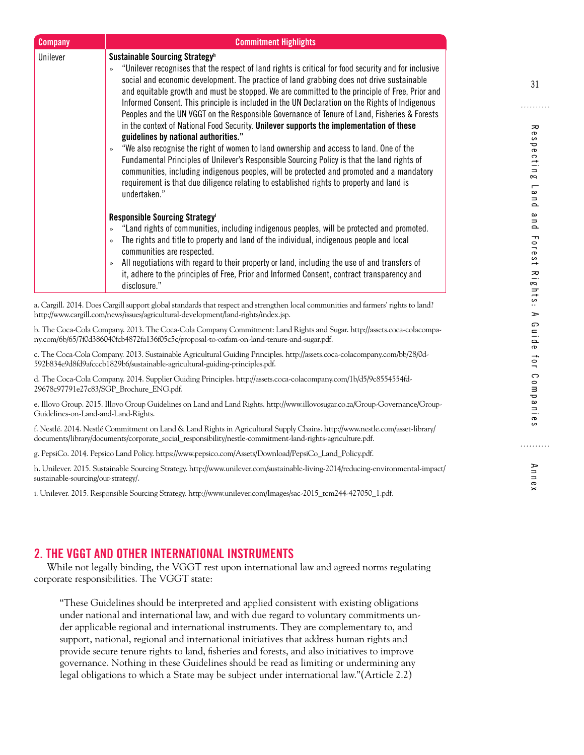<span id="page-38-0"></span>

| <b>Company</b> | <b>Commitment Highlights</b>                                                                                                                                                                                                                                                                                                                                                                                                                                                                                                                                                                                                                                                                                                                                                                                                                                                                                                                                                                                                                                                                                       |
|----------------|--------------------------------------------------------------------------------------------------------------------------------------------------------------------------------------------------------------------------------------------------------------------------------------------------------------------------------------------------------------------------------------------------------------------------------------------------------------------------------------------------------------------------------------------------------------------------------------------------------------------------------------------------------------------------------------------------------------------------------------------------------------------------------------------------------------------------------------------------------------------------------------------------------------------------------------------------------------------------------------------------------------------------------------------------------------------------------------------------------------------|
| Unilever       | Sustainable Sourcing Strategy <sup>h</sup><br>"Unilever recognises that the respect of land rights is critical for food security and for inclusive<br>$\rightarrow$<br>social and economic development. The practice of land grabbing does not drive sustainable<br>and equitable growth and must be stopped. We are committed to the principle of Free, Prior and<br>Informed Consent. This principle is included in the UN Declaration on the Rights of Indigenous<br>Peoples and the UN VGGT on the Responsible Governance of Tenure of Land, Fisheries & Forests<br>in the context of National Food Security. Unilever supports the implementation of these<br>guidelines by national authorities."<br>"We also recognise the right of women to land ownership and access to land. One of the<br>$\gg$<br>Fundamental Principles of Unilever's Responsible Sourcing Policy is that the land rights of<br>communities, including indigenous peoples, will be protected and promoted and a mandatory<br>requirement is that due diligence relating to established rights to property and land is<br>undertaken." |
|                | Responsible Sourcing Strategy <sup>i</sup><br>"Land rights of communities, including indigenous peoples, will be protected and promoted.<br>$\gg$<br>The rights and title to property and land of the individual, indigenous people and local<br>$\rightarrow$<br>communities are respected.<br>All negotiations with regard to their property or land, including the use of and transfers of<br>$\gg$<br>it, adhere to the principles of Free, Prior and Informed Consent, contract transparency and<br>disclosure."                                                                                                                                                                                                                                                                                                                                                                                                                                                                                                                                                                                              |

a. Cargill. 2014. Does Cargill support global standards that respect and strengthen local communities and farmers' rights to land? http://www.cargill.com/news/issues/agricultural-development/land-rights/index.jsp.

b. The Coca-Cola Company. 2013. The Coca-Cola Company Commitment: Land Rights and Sugar. http://assets.coca-colacompany.com/6b/65/7f0d386040fcb4872fa136f05c5c/proposal-to-oxfam-on-land-tenure-and-sugar.pdf.

c. The Coca-Cola Company. 2013. Sustainable Agricultural Guiding Principles. http://assets.coca-colacompany.com/bb/28/0d-592b834e9d8fd9afcccb1829b6/sustainable-agricultural-guiding-principles.pdf.

d. The Coca-Cola Company. 2014. Supplier Guiding Principles. http://assets.coca-colacompany.com/1b/d5/9c8554554fd-29678c97791e27c83/SGP\_Brochure\_ENG.pdf.

e. Illovo Group. 2015. Illovo Group Guidelines on Land and Land Rights. http://www.illovosugar.co.za/Group-Governance/Group-Guidelines-on-Land-and-Land-Rights.

f. Nestlé. 2014. Nestlé Commitment on Land & Land Rights in Agricultural Supply Chains. http://www.nestle.com/asset-library/ documents/library/documents/corporate\_social\_responsibility/nestle-commitment-land-rights-agriculture.pdf.

g. PepsiCo. 2014. Pepsico Land Policy. https://www.pepsico.com/Assets/Download/PepsiCo\_Land\_Policy.pdf.

h. Unilever. 2015. Sustainable Sourcing Strategy. http://www.unilever.com/sustainable-living-2014/reducing-environmental-impact/ sustainable-sourcing/our-strategy/.

i. Unilever. 2015. Responsible Sourcing Strategy. http://www.unilever.com/Images/sac-2015\_tcm244-427050\_1.pdf.

#### **2. THE VGGT AND OTHER INTERNATIONAL INSTRUMENTS**

While not legally binding, the VGGT rest upon international law and agreed norms regulating corporate responsibilities. The VGGT state:

"These Guidelines should be interpreted and applied consistent with existing obligations under national and international law, and with due regard to voluntary commitments under applicable regional and international instruments. They are complementary to, and support, national, regional and international initiatives that address human rights and provide secure tenure rights to land, fisheries and forests, and also initiatives to improve governance. Nothing in these Guidelines should be read as limiting or undermining any legal obligations to which a State may be subject under international law."(Article 2.2)

. . . . . . . . . .

Annex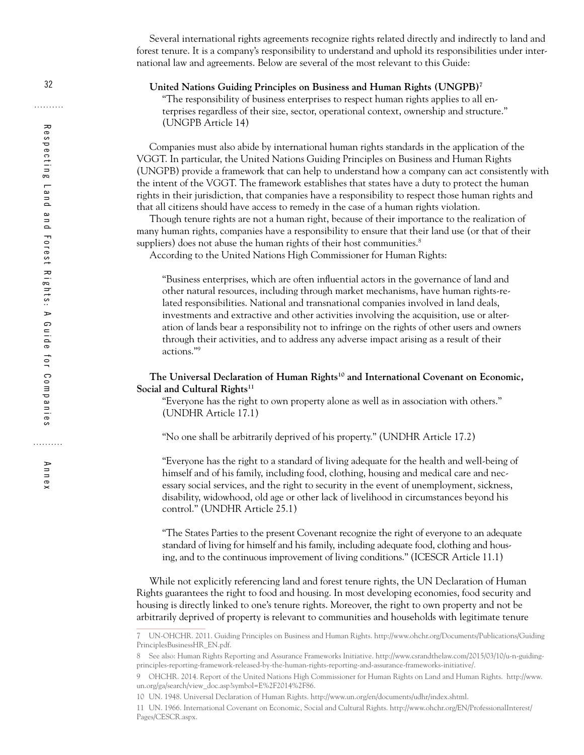Several international rights agreements recognize rights related directly and indirectly to land and forest tenure. It is a company's responsibility to understand and uphold its responsibilities under international law and agreements. Below are several of the most relevant to this Guide:

#### **United Nations Guiding Principles on Business and Human Rights (UNGPB)7**

"The responsibility of business enterprises to respect human rights applies to all enterprises regardless of their size, sector, operational context, ownership and structure." (UNGPB Article 14)

Companies must also abide by international human rights standards in the application of the VGGT. In particular, the United Nations Guiding Principles on Business and Human Rights (UNGPB) provide a framework that can help to understand how a company can act consistently with the intent of the VGGT. The framework establishes that states have a duty to protect the human rights in their jurisdiction, that companies have a responsibility to respect those human rights and that all citizens should have access to remedy in the case of a human rights violation.

Though tenure rights are not a human right, because of their importance to the realization of many human rights, companies have a responsibility to ensure that their land use (or that of their suppliers) does not abuse the human rights of their host communities. $8$ 

According to the United Nations High Commissioner for Human Rights:

"Business enterprises, which are often influential actors in the governance of land and other natural resources, including through market mechanisms, have human rights-related responsibilities. National and transnational companies involved in land deals, investments and extractive and other activities involving the acquisition, use or alteration of lands bear a responsibility not to infringe on the rights of other users and owners through their activities, and to address any adverse impact arising as a result of their actions."9

#### **The Universal Declaration of Human Rights10 and International Covenant on Economic,**  Social and Cultural Rights<sup>11</sup>

"Everyone has the right to own property alone as well as in association with others." (UNDHR Article 17.1)

"No one shall be arbitrarily deprived of his property." (UNDHR Article 17.2)

"Everyone has the right to a standard of living adequate for the health and well-being of himself and of his family, including food, clothing, housing and medical care and necessary social services, and the right to security in the event of unemployment, sickness, disability, widowhood, old age or other lack of livelihood in circumstances beyond his control." (UNDHR Article 25.1)

"The States Parties to the present Covenant recognize the right of everyone to an adequate standard of living for himself and his family, including adequate food, clothing and housing, and to the continuous improvement of living conditions." (ICESCR Article 11.1)

While not explicitly referencing land and forest tenure rights, the UN Declaration of Human Rights guarantees the right to food and housing. In most developing economies, food security and housing is directly linked to one's tenure rights. Moreover, the right to own property and not be arbitrarily deprived of property is relevant to communities and households with legitimate tenure

Annex

<sup>7</sup> UN-OHCHR. 2011. Guiding Principles on Business and Human Rights. [http://www.ohchr.org/Documents/Publications/Guiding](http://www.ohchr.org/Documents/Publications/GuidingPrinciplesBusinessHR_EN.pdf)  [PrinciplesBusinessHR\\_EN.pdf.](http://www.ohchr.org/Documents/Publications/GuidingPrinciplesBusinessHR_EN.pdf)

<sup>8</sup> See also: Human Rights Reporting and Assurance Frameworks Initiative. http://www.csrandthelaw.com/2015/03/10/u-n-guidingprinciples-reporting-framework-released-by-the-human-rights-reporting-and-assurance-frameworks-initiative/.

<sup>9</sup> OHCHR. 2014. Report of the United Nations High Commissioner for Human Rights on Land and Human Rights. http://www. un.org/ga/search/view\_doc.asp?symbol=E%2F2014%2F86.

<sup>10</sup> UN. 1948. Universal Declaration of Human Rights. [http://www.un.org/en/documents/udhr/index.shtml.](http://www.un.org/en/documents/udhr/index.shtml)

<sup>11</sup> UN. 1966. International Covenant on Economic, Social and Cultural Rights. [http://www.ohchr.org/EN/ProfessionalInterest/](http://www.ohchr.org/EN/ProfessionalInterest/Pages/CESCR.aspx)  [Pages/CESCR.aspx](http://www.ohchr.org/EN/ProfessionalInterest/Pages/CESCR.aspx).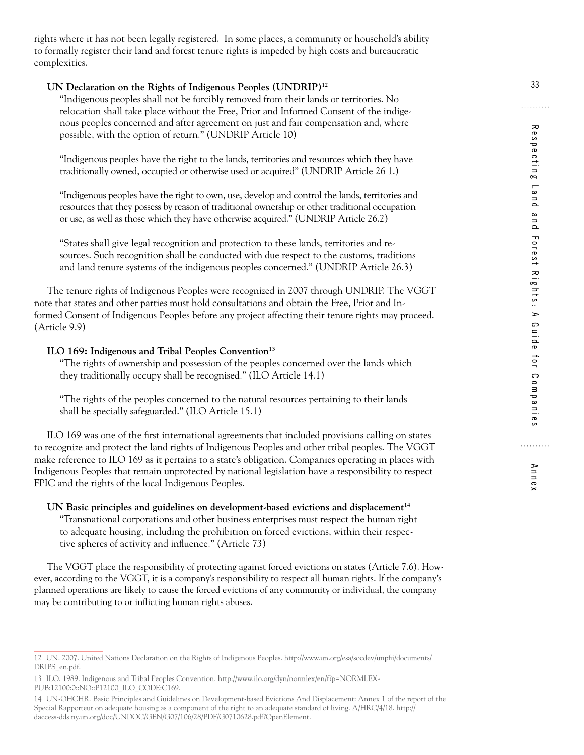rights where it has not been legally registered. In some places, a community or household's ability to formally register their land and forest tenure rights is impeded by high costs and bureaucratic complexities.

#### **UN Declaration on the Rights of Indigenous Peoples (UNDRIP)12**

"Indigenous peoples shall not be forcibly removed from their lands or territories. No relocation shall take place without the Free, Prior and Informed Consent of the indigenous peoples concerned and after agreement on just and fair compensation and, where possible, with the option of return." (UNDRIP Article 10)

"Indigenous peoples have the right to the lands, territories and resources which they have traditionally owned, occupied or otherwise used or acquired" (UNDRIP Article 26 1.)

"Indigenous peoples have the right to own, use, develop and control the lands, territories and resources that they possess by reason of traditional ownership or other traditional occupation or use, as well as those which they have otherwise acquired." (UNDRIP Article 26.2)

"States shall give legal recognition and protection to these lands, territories and resources. Such recognition shall be conducted with due respect to the customs, traditions and land tenure systems of the indigenous peoples concerned." (UNDRIP Article 26.3)

The tenure rights of Indigenous Peoples were recognized in 2007 through UNDRIP. The VGGT note that states and other parties must hold consultations and obtain the Free, Prior and Informed Consent of Indigenous Peoples before any project affecting their tenure rights may proceed. (Article 9.9)

#### ILO 169: Indigenous and Tribal Peoples Convention<sup>13</sup>

"The rights of ownership and possession of the peoples concerned over the lands which they traditionally occupy shall be recognised." (ILO Article 14.1)

"The rights of the peoples concerned to the natural resources pertaining to their lands shall be specially safeguarded." (ILO Article 15.1)

ILO 169 was one of the first international agreements that included provisions calling on states to recognize and protect the land rights of Indigenous Peoples and other tribal peoples. The VGGT make reference to ILO 169 as it pertains to a state's obligation. Companies operating in places with Indigenous Peoples that remain unprotected by national legislation have a responsibility to respect FPIC and the rights of the local Indigenous Peoples.

#### UN Basic principles and guidelines on development-based evictions and displacement<sup>14</sup>

"Transnational corporations and other business enterprises must respect the human right to adequate housing, including the prohibition on forced evictions, within their respective spheres of activity and influence." (Article 73)

The VGGT place the responsibility of protecting against forced evictions on states (Article 7.6). However, according to the VGGT, it is a company's responsibility to respect all human rights. If the company's planned operations are likely to cause the forced evictions of any community or individual, the company may be contributing to or inflicting human rights abuses.

Annex

<sup>12</sup> UN. 2007. United Nations Declaration on the Rights of Indigenous Peoples. [http://www.un.org/esa/socdev/unpfii/documents/](http://www.un.org/esa/socdev/unpfii/documents/DRIPS_en.pdf) [DRIPS\\_en.pdf.](http://www.un.org/esa/socdev/unpfii/documents/DRIPS_en.pdf)

<sup>13</sup> ILO. 1989. Indigenous and Tribal Peoples Convention. [http://www.ilo.org/dyn/normlex/en/f?p=NORMLEX-](http://www.ilo.org/dyn/normlex/en/f?p=NORMLEXPUB:12100:0::NO::P12100_ILO_CODE:C169)[PUB:12100:0::NO::P12100\\_ILO\\_CODE:C169.](http://www.ilo.org/dyn/normlex/en/f?p=NORMLEXPUB:12100:0::NO::P12100_ILO_CODE:C169)

<sup>14</sup> UN-OHCHR. Basic Principles and Guidelines on Development-based Evictions And Displacement: Annex 1 of the report of the Special Rapporteur on adequate housing as a component of the right to an adequate standard of living. A/HRC/4/18. http:// daccess-dds ny.un.org/doc/UNDOC/GEN/G07/106/28/PDF/G0710628.pdf?OpenElement.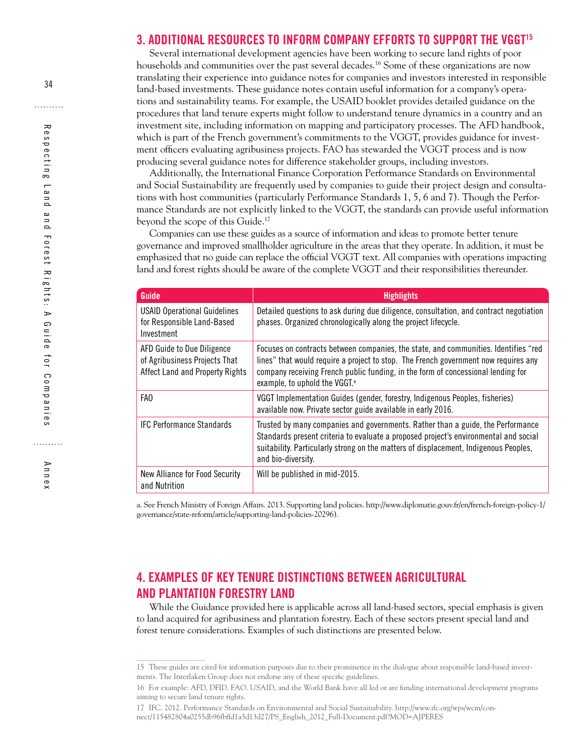#### <span id="page-41-0"></span>**3. ADDITIONAL RESOURCES TO INFORM COMPANY EFFORTS TO SUPPORT THE VGGT15**

Several international development agencies have been working to secure land rights of poor households and communities over the past several decades.<sup>16</sup> Some of these organizations are now translating their experience into guidance notes for companies and investors interested in responsible land-based investments. These guidance notes contain useful information for a company's operations and sustainability teams. For example, the USAID booklet provides detailed guidance on the procedures that land tenure experts might follow to understand tenure dynamics in a country and an investment site, including information on mapping and participatory processes. The AFD handbook, which is part of the French government's commitments to the VGGT, provides guidance for investment officers evaluating agribusiness projects. FAO has stewarded the VGGT process and is now producing several guidance notes for difference stakeholder groups, including investors.

Additionally, the International Finance Corporation Performance Standards on Environmental and Social Sustainability are frequently used by companies to guide their project design and consultations with host communities (particularly Performance Standards 1, 5, 6 and 7). Though the Performance Standards are not explicitly linked to the VGGT, the standards can provide useful information beyond the scope of this Guide.<sup>17</sup>

Companies can use these guides as a source of information and ideas to promote better tenure governance and improved smallholder agriculture in the areas that they operate. In addition, it must be emphasized that no guide can replace the official VGGT text. All companies with operations impacting land and forest rights should be aware of the complete VGGT and their responsibilities thereunder.

| Guide                                                                                          | <b>Highlights</b>                                                                                                                                                                                                                                                                                           |
|------------------------------------------------------------------------------------------------|-------------------------------------------------------------------------------------------------------------------------------------------------------------------------------------------------------------------------------------------------------------------------------------------------------------|
| <b>USAID Operational Guidelines</b><br>for Responsible Land-Based<br>Investment                | Detailed questions to ask during due diligence, consultation, and contract negotiation<br>phases. Organized chronologically along the project lifecycle.                                                                                                                                                    |
| AFD Guide to Due Diligence<br>of Agribusiness Projects That<br>Affect Land and Property Rights | Focuses on contracts between companies, the state, and communities. Identifies "red<br>lines" that would require a project to stop. The French government now requires any<br>company receiving French public funding, in the form of concessional lending for<br>example, to uphold the VGGT. <sup>a</sup> |
| FAO                                                                                            | VGGT Implementation Guides (gender, forestry, Indigenous Peoples, fisheries)<br>available now. Private sector guide available in early 2016.                                                                                                                                                                |
| <b>IFC Performance Standards</b>                                                               | Trusted by many companies and governments. Rather than a guide, the Performance<br>Standards present criteria to evaluate a proposed project's environmental and social<br>suitability. Particularly strong on the matters of displacement, Indigenous Peoples,<br>and bio-diversity.                       |
| New Alliance for Food Security<br>and Nutrition                                                | Will be published in mid-2015.                                                                                                                                                                                                                                                                              |

a. See French Ministry of Foreign Affairs. 2013. Supporting land policies. http://www.diplomatie.gouv.fr/en/french-foreign-policy-1/ governance/state-reform/article/supporting-land-policies-20296).

## **4. EXAMPLES OF KEY TENURE DISTINCTIONS BETWEEN AGRICULTURAL AND PLANTATION FORESTRY LAND**

While the Guidance provided here is applicable across all land-based sectors, special emphasis is given to land acquired for agribusiness and plantation forestry. Each of these sectors present special land and forest tenure considerations. Examples of such distinctions are presented below.

<sup>15</sup> These guides are cited for information purposes due to their prominence in the dialogue about responsible land-based investments. The Interlaken Group does not endorse any of these specific guidelines.

<sup>16</sup> For example: AFD, DFID. FAO. USAID, and the World Bank have all led or are funding international development programs aiming to secure land tenure rights.

<sup>17</sup> IFC. 2012. Performance Standards on Environmental and Social Sustainability. [http://www.ifc.org/wps/wcm/con](http://www.ifc.org/wps/wcm/connect/115482804a0255db96fbffd1a5d13d27/PS_English_2012_Full-Document.pdf?MOD=AJPERES)[nect/115482804a0255db96fbffd1a5d13d27/PS\\_English\\_2012\\_Full-Document.pdf?MOD=AJPERES](http://www.ifc.org/wps/wcm/connect/115482804a0255db96fbffd1a5d13d27/PS_English_2012_Full-Document.pdf?MOD=AJPERES)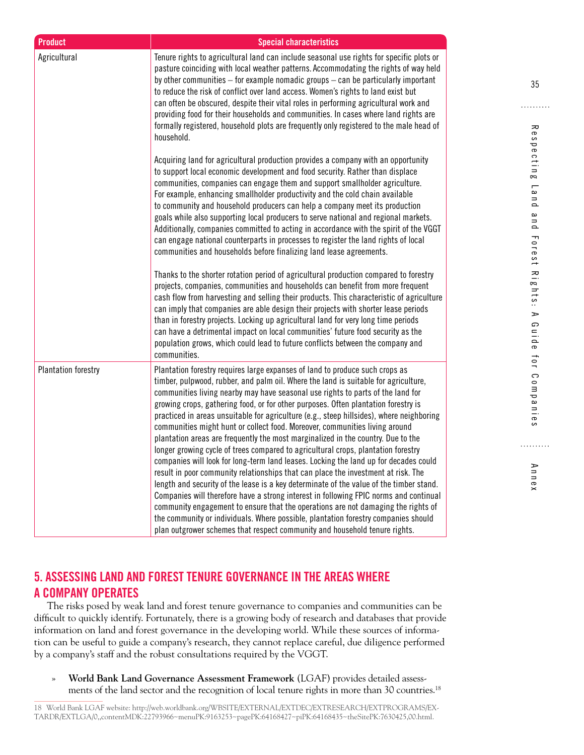<span id="page-42-0"></span>

| <b>Product</b>             | <b>Special characteristics</b>                                                                                                                                                                                                                                                                                                                                                                                                                                                                                                                                                                                                                                                                                                                                                                                                                                                                                                                                                                                                                                                                                                                                                                                                                                                                                             |
|----------------------------|----------------------------------------------------------------------------------------------------------------------------------------------------------------------------------------------------------------------------------------------------------------------------------------------------------------------------------------------------------------------------------------------------------------------------------------------------------------------------------------------------------------------------------------------------------------------------------------------------------------------------------------------------------------------------------------------------------------------------------------------------------------------------------------------------------------------------------------------------------------------------------------------------------------------------------------------------------------------------------------------------------------------------------------------------------------------------------------------------------------------------------------------------------------------------------------------------------------------------------------------------------------------------------------------------------------------------|
| Agricultural               | Tenure rights to agricultural land can include seasonal use rights for specific plots or<br>pasture coinciding with local weather patterns. Accommodating the rights of way held<br>by other communities $-$ for example nomadic groups $-$ can be particularly important<br>to reduce the risk of conflict over land access. Women's rights to land exist but<br>can often be obscured, despite their vital roles in performing agricultural work and<br>providing food for their households and communities. In cases where land rights are<br>formally registered, household plots are frequently only registered to the male head of<br>household.                                                                                                                                                                                                                                                                                                                                                                                                                                                                                                                                                                                                                                                                     |
|                            | Acquiring land for agricultural production provides a company with an opportunity<br>to support local economic development and food security. Rather than displace<br>communities, companies can engage them and support smallholder agriculture.<br>For example, enhancing smallholder productivity and the cold chain available<br>to community and household producers can help a company meet its production<br>goals while also supporting local producers to serve national and regional markets.<br>Additionally, companies committed to acting in accordance with the spirit of the VGGT<br>can engage national counterparts in processes to register the land rights of local<br>communities and households before finalizing land lease agreements.                                                                                                                                                                                                                                                                                                                                                                                                                                                                                                                                                              |
|                            | Thanks to the shorter rotation period of agricultural production compared to forestry<br>projects, companies, communities and households can benefit from more frequent<br>cash flow from harvesting and selling their products. This characteristic of agriculture<br>can imply that companies are able design their projects with shorter lease periods<br>than in forestry projects. Locking up agricultural land for very long time periods<br>can have a detrimental impact on local communities' future food security as the<br>population grows, which could lead to future conflicts between the company and<br>communities.                                                                                                                                                                                                                                                                                                                                                                                                                                                                                                                                                                                                                                                                                       |
| <b>Plantation forestry</b> | Plantation forestry requires large expanses of land to produce such crops as<br>timber, pulpwood, rubber, and palm oil. Where the land is suitable for agriculture,<br>communities living nearby may have seasonal use rights to parts of the land for<br>growing crops, gathering food, or for other purposes. Often plantation forestry is<br>practiced in areas unsuitable for agriculture (e.g., steep hillsides), where neighboring<br>communities might hunt or collect food. Moreover, communities living around<br>plantation areas are frequently the most marginalized in the country. Due to the<br>longer growing cycle of trees compared to agricultural crops, plantation forestry<br>companies will look for long-term land leases. Locking the land up for decades could<br>result in poor community relationships that can place the investment at risk. The<br>length and security of the lease is a key determinate of the value of the timber stand.<br>Companies will therefore have a strong interest in following FPIC norms and continual<br>community engagement to ensure that the operations are not damaging the rights of<br>the community or individuals. Where possible, plantation forestry companies should<br>plan outgrower schemes that respect community and household tenure rights. |

## **5. ASSESSING LAND AND FOREST TENURE GOVERNANCE IN THE AREAS WHERE A COMPANY OPERATES**

The risks posed by weak land and forest tenure governance to companies and communities can be difficult to quickly identify. Fortunately, there is a growing body of research and databases that provide information on land and forest governance in the developing world. While these sources of information can be useful to guide a company's research, they cannot replace careful, due diligence performed by a company's staff and the robust consultations required by the VGGT.

» **World Bank Land Governance Assessment Framework** (LGAF) provides detailed assessments of the land sector and the recognition of local tenure rights in more than 30 countries.<sup>18</sup> . . . . . . . . . .

Annex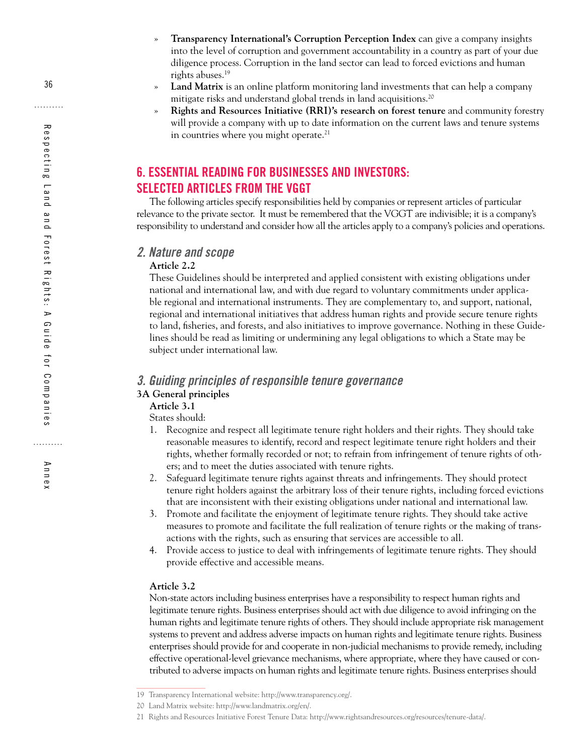- <span id="page-43-0"></span>» **Transparency International's Corruption Perception Index** can give a company insights into the level of corruption and government accountability in a country as part of your due diligence process. Corruption in the land sector can lead to forced evictions and human rights abuses.19
- » **Land Matrix** is an online platform monitoring land investments that can help a company mitigate risks and understand global trends in land acquisitions.<sup>20</sup>
- » **Rights and Resources Initiative (RRI)'s research on forest tenure** and community forestry will provide a company with up to date information on the current laws and tenure systems in countries where you might operate.<sup>21</sup>

## **6. ESSENTIAL READING FOR BUSINESSES AND INVESTORS: SELECTED ARTICLES FROM THE VGGT**

The following articles specify responsibilities held by companies or represent articles of particular relevance to the private sector. It must be remembered that the VGGT are indivisible; it is a company's responsibility to understand and consider how all the articles apply to a company's policies and operations.

#### *2. Nature and scope*

#### **Article 2.2**

These Guidelines should be interpreted and applied consistent with existing obligations under national and international law, and with due regard to voluntary commitments under applicable regional and international instruments. They are complementary to, and support, national, regional and international initiatives that address human rights and provide secure tenure rights to land, fisheries, and forests, and also initiatives to improve governance. Nothing in these Guidelines should be read as limiting or undermining any legal obligations to which a State may be subject under international law.

#### *3. Guiding principles of responsible tenure governance* **3A General principles**

**Article 3.1**  States should:

1. Recognize and respect all legitimate tenure right holders and their rights. They should take

- reasonable measures to identify, record and respect legitimate tenure right holders and their rights, whether formally recorded or not; to refrain from infringement of tenure rights of others; and to meet the duties associated with tenure rights.
- 2. Safeguard legitimate tenure rights against threats and infringements. They should protect tenure right holders against the arbitrary loss of their tenure rights, including forced evictions that are inconsistent with their existing obligations under national and international law.
- 3. Promote and facilitate the enjoyment of legitimate tenure rights. They should take active measures to promote and facilitate the full realization of tenure rights or the making of transactions with the rights, such as ensuring that services are accessible to all.
- 4. Provide access to justice to deal with infringements of legitimate tenure rights. They should provide effective and accessible means.

#### **Article 3.2**

Non-state actors including business enterprises have a responsibility to respect human rights and legitimate tenure rights. Business enterprises should act with due diligence to avoid infringing on the human rights and legitimate tenure rights of others. They should include appropriate risk management systems to prevent and address adverse impacts on human rights and legitimate tenure rights. Business enterprises should provide for and cooperate in non-judicial mechanisms to provide remedy, including effective operational-level grievance mechanisms, where appropriate, where they have caused or contributed to adverse impacts on human rights and legitimate tenure rights. Business enterprises should

Annex

<sup>19</sup> Transparency International website:<http://www.transparency.org/>.

<sup>20</sup> Land Matrix website: [http://www.landmatrix.org/en/.](http://www.landmatrix.org/en/)

<sup>21</sup> Rights and Resources Initiative Forest Tenure Data: [http://www.rightsandresources.org/resources/tenure-data/.](http://www.rightsandresources.org/resources/tenure-data/)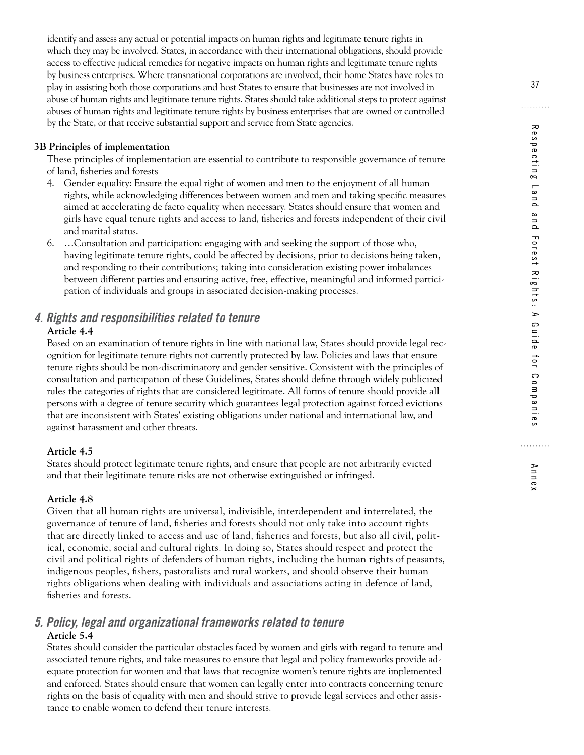identify and assess any actual or potential impacts on human rights and legitimate tenure rights in which they may be involved. States, in accordance with their international obligations, should provide access to effective judicial remedies for negative impacts on human rights and legitimate tenure rights by business enterprises. Where transnational corporations are involved, their home States have roles to play in assisting both those corporations and host States to ensure that businesses are not involved in abuse of human rights and legitimate tenure rights. States should take additional steps to protect against abuses of human rights and legitimate tenure rights by business enterprises that are owned or controlled by the State, or that receive substantial support and service from State agencies.

#### **3B Principles of implementation**

These principles of implementation are essential to contribute to responsible governance of tenure of land, fisheries and forests

- 4. Gender equality: Ensure the equal right of women and men to the enjoyment of all human rights, while acknowledging differences between women and men and taking specific measures aimed at accelerating de facto equality when necessary. States should ensure that women and girls have equal tenure rights and access to land, fisheries and forests independent of their civil and marital status.
- 6. …Consultation and participation: engaging with and seeking the support of those who, having legitimate tenure rights, could be affected by decisions, prior to decisions being taken, and responding to their contributions; taking into consideration existing power imbalances between different parties and ensuring active, free, effective, meaningful and informed participation of individuals and groups in associated decision-making processes.

## *4. Rights and responsibilities related to tenure*

#### **Article 4.4**

Based on an examination of tenure rights in line with national law, States should provide legal recognition for legitimate tenure rights not currently protected by law. Policies and laws that ensure tenure rights should be non-discriminatory and gender sensitive. Consistent with the principles of consultation and participation of these Guidelines, States should define through widely publicized rules the categories of rights that are considered legitimate. All forms of tenure should provide all persons with a degree of tenure security which guarantees legal protection against forced evictions that are inconsistent with States' existing obligations under national and international law, and against harassment and other threats.

#### **Article 4.5**

States should protect legitimate tenure rights, and ensure that people are not arbitrarily evicted and that their legitimate tenure risks are not otherwise extinguished or infringed.

#### **Article 4.8**

Given that all human rights are universal, indivisible, interdependent and interrelated, the governance of tenure of land, fisheries and forests should not only take into account rights that are directly linked to access and use of land, fisheries and forests, but also all civil, political, economic, social and cultural rights. In doing so, States should respect and protect the civil and political rights of defenders of human rights, including the human rights of peasants, indigenous peoples, fishers, pastoralists and rural workers, and should observe their human rights obligations when dealing with individuals and associations acting in defence of land, fisheries and forests.

#### *5. Policy, legal and organizational frameworks related to tenure* **Article 5.4**

States should consider the particular obstacles faced by women and girls with regard to tenure and associated tenure rights, and take measures to ensure that legal and policy frameworks provide adequate protection for women and that laws that recognize women's tenure rights are implemented and enforced. States should ensure that women can legally enter into contracts concerning tenure rights on the basis of equality with men and should strive to provide legal services and other assistance to enable women to defend their tenure interests.

Annex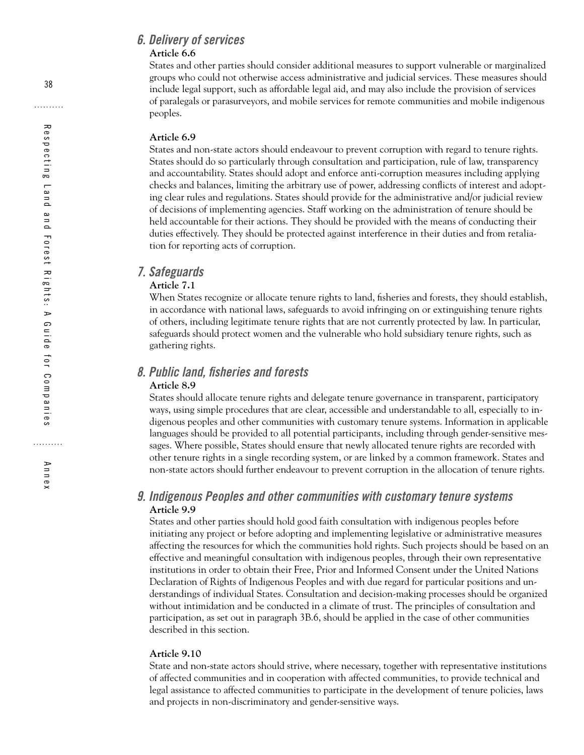#### *6. Delivery of services* **Article 6.6**

States and other parties should consider additional measures to support vulnerable or marginalized groups who could not otherwise access administrative and judicial services. These measures should include legal support, such as affordable legal aid, and may also include the provision of services of paralegals or parasurveyors, and mobile services for remote communities and mobile indigenous peoples.

#### **Article 6.9**

States and non-state actors should endeavour to prevent corruption with regard to tenure rights. States should do so particularly through consultation and participation, rule of law, transparency and accountability. States should adopt and enforce anti-corruption measures including applying checks and balances, limiting the arbitrary use of power, addressing conflicts of interest and adopting clear rules and regulations. States should provide for the administrative and/or judicial review of decisions of implementing agencies. Staff working on the administration of tenure should be held accountable for their actions. They should be provided with the means of conducting their duties effectively. They should be protected against interference in their duties and from retaliation for reporting acts of corruption.

#### *7. Safeguards*

#### **Article 7.1**

When States recognize or allocate tenure rights to land, fisheries and forests, they should establish, in accordance with national laws, safeguards to avoid infringing on or extinguishing tenure rights of others, including legitimate tenure rights that are not currently protected by law. In particular, safeguards should protect women and the vulnerable who hold subsidiary tenure rights, such as gathering rights.

## *8. Public land, fisheries and forests*

#### **Article 8.9**

States should allocate tenure rights and delegate tenure governance in transparent, participatory ways, using simple procedures that are clear, accessible and understandable to all, especially to indigenous peoples and other communities with customary tenure systems. Information in applicable languages should be provided to all potential participants, including through gender-sensitive messages. Where possible, States should ensure that newly allocated tenure rights are recorded with other tenure rights in a single recording system, or are linked by a common framework. States and non-state actors should further endeavour to prevent corruption in the allocation of tenure rights.

#### *9. Indigenous Peoples and other communities with customary tenure systems* **Article 9.9**

States and other parties should hold good faith consultation with indigenous peoples before initiating any project or before adopting and implementing legislative or administrative measures affecting the resources for which the communities hold rights. Such projects should be based on an effective and meaningful consultation with indigenous peoples, through their own representative institutions in order to obtain their Free, Prior and Informed Consent under the United Nations Declaration of Rights of Indigenous Peoples and with due regard for particular positions and understandings of individual States. Consultation and decision-making processes should be organized without intimidation and be conducted in a climate of trust. The principles of consultation and participation, as set out in paragraph 3B.6, should be applied in the case of other communities described in this section.

#### **Article 9.10**

State and non-state actors should strive, where necessary, together with representative institutions of affected communities and in cooperation with affected communities, to provide technical and legal assistance to affected communities to participate in the development of tenure policies, laws and projects in non-discriminatory and gender-sensitive ways.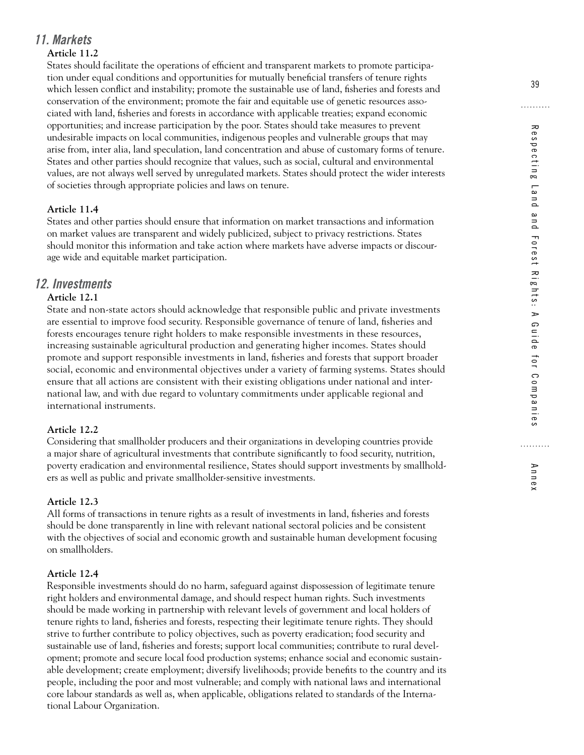#### *11. Markets*

#### **Article 11.2**

States should facilitate the operations of efficient and transparent markets to promote participation under equal conditions and opportunities for mutually beneficial transfers of tenure rights which lessen conflict and instability; promote the sustainable use of land, fisheries and forests and conservation of the environment; promote the fair and equitable use of genetic resources associated with land, fisheries and forests in accordance with applicable treaties; expand economic opportunities; and increase participation by the poor. States should take measures to prevent undesirable impacts on local communities, indigenous peoples and vulnerable groups that may arise from, inter alia, land speculation, land concentration and abuse of customary forms of tenure. States and other parties should recognize that values, such as social, cultural and environmental values, are not always well served by unregulated markets. States should protect the wider interests of societies through appropriate policies and laws on tenure.

#### **Article 11.4**

States and other parties should ensure that information on market transactions and information on market values are transparent and widely publicized, subject to privacy restrictions. States should monitor this information and take action where markets have adverse impacts or discourage wide and equitable market participation.

## *12. Investments*

#### **Article 12.1**

State and non-state actors should acknowledge that responsible public and private investments are essential to improve food security. Responsible governance of tenure of land, fisheries and forests encourages tenure right holders to make responsible investments in these resources, increasing sustainable agricultural production and generating higher incomes. States should promote and support responsible investments in land, fisheries and forests that support broader social, economic and environmental objectives under a variety of farming systems. States should ensure that all actions are consistent with their existing obligations under national and international law, and with due regard to voluntary commitments under applicable regional and international instruments.

#### **Article 12.2**

Considering that smallholder producers and their organizations in developing countries provide a major share of agricultural investments that contribute significantly to food security, nutrition, poverty eradication and environmental resilience, States should support investments by smallholders as well as public and private smallholder-sensitive investments.

#### **Article 12.3**

All forms of transactions in tenure rights as a result of investments in land, fisheries and forests should be done transparently in line with relevant national sectoral policies and be consistent with the objectives of social and economic growth and sustainable human development focusing on smallholders.

#### **Article 12.4**

Responsible investments should do no harm, safeguard against dispossession of legitimate tenure right holders and environmental damage, and should respect human rights. Such investments should be made working in partnership with relevant levels of government and local holders of tenure rights to land, fisheries and forests, respecting their legitimate tenure rights. They should strive to further contribute to policy objectives, such as poverty eradication; food security and sustainable use of land, fisheries and forests; support local communities; contribute to rural development; promote and secure local food production systems; enhance social and economic sustainable development; create employment; diversify livelihoods; provide benefits to the country and its people, including the poor and most vulnerable; and comply with national laws and international core labour standards as well as, when applicable, obligations related to standards of the International Labour Organization.

Annex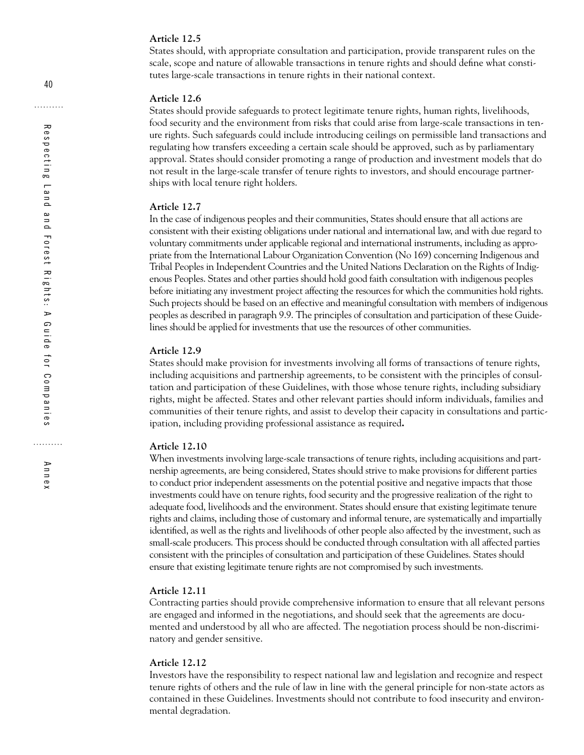#### **Article 12.5**

States should, with appropriate consultation and participation, provide transparent rules on the scale, scope and nature of allowable transactions in tenure rights and should define what constitutes large-scale transactions in tenure rights in their national context.

#### **Article 12.6**

States should provide safeguards to protect legitimate tenure rights, human rights, livelihoods, food security and the environment from risks that could arise from large-scale transactions in tenure rights. Such safeguards could include introducing ceilings on permissible land transactions and regulating how transfers exceeding a certain scale should be approved, such as by parliamentary approval. States should consider promoting a range of production and investment models that do not result in the large-scale transfer of tenure rights to investors, and should encourage partnerships with local tenure right holders.

#### **Article 12.7**

In the case of indigenous peoples and their communities, States should ensure that all actions are consistent with their existing obligations under national and international law, and with due regard to voluntary commitments under applicable regional and international instruments, including as appropriate from the International Labour Organization Convention (No 169) concerning Indigenous and Tribal Peoples in Independent Countries and the United Nations Declaration on the Rights of Indigenous Peoples. States and other parties should hold good faith consultation with indigenous peoples before initiating any investment project affecting the resources for which the communities hold rights. Such projects should be based on an effective and meaningful consultation with members of indigenous peoples as described in paragraph 9.9. The principles of consultation and participation of these Guidelines should be applied for investments that use the resources of other communities.

#### **Article 12.9**

States should make provision for investments involving all forms of transactions of tenure rights, including acquisitions and partnership agreements, to be consistent with the principles of consultation and participation of these Guidelines, with those whose tenure rights, including subsidiary rights, might be affected. States and other relevant parties should inform individuals, families and communities of their tenure rights, and assist to develop their capacity in consultations and participation, including providing professional assistance as required**.**

#### **Article 12.10**

When investments involving large-scale transactions of tenure rights, including acquisitions and partnership agreements, are being considered, States should strive to make provisions for different parties to conduct prior independent assessments on the potential positive and negative impacts that those investments could have on tenure rights, food security and the progressive realization of the right to adequate food, livelihoods and the environment. States should ensure that existing legitimate tenure rights and claims, including those of customary and informal tenure, are systematically and impartially identified, as well as the rights and livelihoods of other people also affected by the investment, such as small-scale producers. This process should be conducted through consultation with all affected parties consistent with the principles of consultation and participation of these Guidelines. States should ensure that existing legitimate tenure rights are not compromised by such investments.

#### **Article 12.11**

Contracting parties should provide comprehensive information to ensure that all relevant persons are engaged and informed in the negotiations, and should seek that the agreements are documented and understood by all who are affected. The negotiation process should be non-discriminatory and gender sensitive.

#### **Article 12.12**

Investors have the responsibility to respect national law and legislation and recognize and respect tenure rights of others and the rule of law in line with the general principle for non-state actors as contained in these Guidelines. Investments should not contribute to food insecurity and environmental degradation.

Annex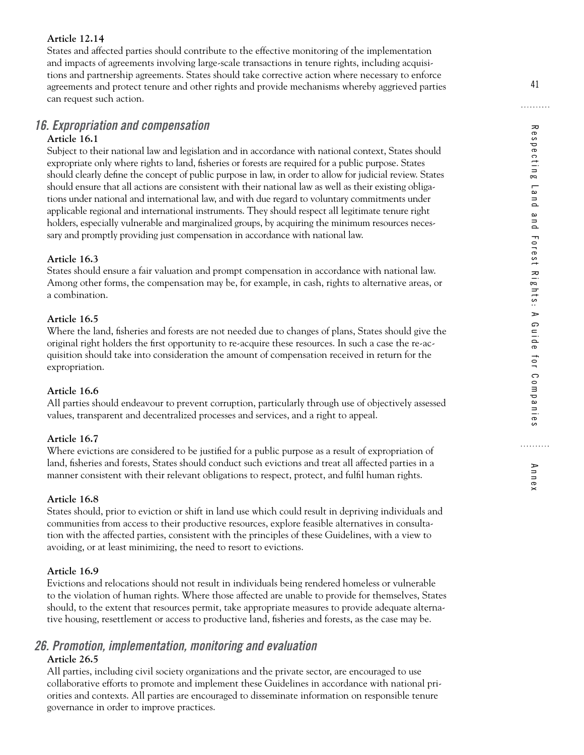#### **Article 12.14**

States and affected parties should contribute to the effective monitoring of the implementation and impacts of agreements involving large-scale transactions in tenure rights, including acquisitions and partnership agreements. States should take corrective action where necessary to enforce agreements and protect tenure and other rights and provide mechanisms whereby aggrieved parties can request such action.

#### *16. Expropriation and compensation*

#### **Article 16.1**

Subject to their national law and legislation and in accordance with national context, States should expropriate only where rights to land, fisheries or forests are required for a public purpose. States should clearly define the concept of public purpose in law, in order to allow for judicial review. States should ensure that all actions are consistent with their national law as well as their existing obligations under national and international law, and with due regard to voluntary commitments under applicable regional and international instruments. They should respect all legitimate tenure right holders, especially vulnerable and marginalized groups, by acquiring the minimum resources necessary and promptly providing just compensation in accordance with national law.

#### **Article 16.3**

States should ensure a fair valuation and prompt compensation in accordance with national law. Among other forms, the compensation may be, for example, in cash, rights to alternative areas, or a combination.

#### **Article 16.5**

Where the land, fisheries and forests are not needed due to changes of plans, States should give the original right holders the first opportunity to re-acquire these resources. In such a case the re-acquisition should take into consideration the amount of compensation received in return for the expropriation.

#### **Article 16.6**

All parties should endeavour to prevent corruption, particularly through use of objectively assessed values, transparent and decentralized processes and services, and a right to appeal.

#### **Article 16.7**

Where evictions are considered to be justified for a public purpose as a result of expropriation of land, fisheries and forests, States should conduct such evictions and treat all affected parties in a manner consistent with their relevant obligations to respect, protect, and fulfil human rights.

#### **Article 16.8**

States should, prior to eviction or shift in land use which could result in depriving individuals and communities from access to their productive resources, explore feasible alternatives in consultation with the affected parties, consistent with the principles of these Guidelines, with a view to avoiding, or at least minimizing, the need to resort to evictions.

#### **Article 16.9**

Evictions and relocations should not result in individuals being rendered homeless or vulnerable to the violation of human rights. Where those affected are unable to provide for themselves, States should, to the extent that resources permit, take appropriate measures to provide adequate alternative housing, resettlement or access to productive land, fisheries and forests, as the case may be.

#### *26. Promotion, implementation, monitoring and evaluation* **Article 26.5**

All parties, including civil society organizations and the private sector, are encouraged to use collaborative efforts to promote and implement these Guidelines in accordance with national priorities and contexts. All parties are encouraged to disseminate information on responsible tenure governance in order to improve practices.

Annex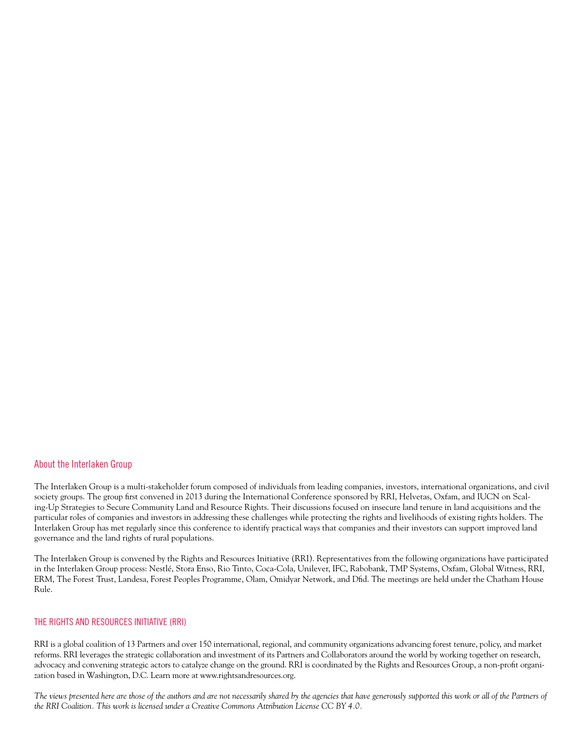#### About the Interlaken Group

The Interlaken Group is a multi-stakeholder forum composed of individuals from leading companies, investors, international organizations, and civil society groups. The group first convened in 2013 during the International Conference sponsored by RRI, Helvetas, Oxfam, and IUCN on Scaling-Up Strategies to Secure Community Land and Resource Rights. Their discussions focused on insecure land tenure in land acquisitions and the particular roles of companies and investors in addressing these challenges while protecting the rights and livelihoods of existing rights holders. The Interlaken Group has met regularly since this conference to identify practical ways that companies and their investors can support improved land governance and the land rights of rural populations.

The Interlaken Group is convened by the Rights and Resources Initiative (RRI). Representatives from the following organizations have participated in the Interlaken Group process: Nestlé, Stora Enso, Rio Tinto, Coca-Cola, Unilever, IFC, Rabobank, TMP Systems, Oxfam, Global Witness, RRI, ERM, The Forest Trust, Landesa, Forest Peoples Programme, Olam, Omidyar Network, and Dfid. The meetings are held under the Chatham House Rule.

#### THE RIGHTS AND RESOURCES INITIATIVE (RRI)

RRI is a global coalition of 13 Partners and over 150 international, regional, and community organizations advancing forest tenure, policy, and market reforms. RRI leverages the strategic collaboration and investment of its Partners and Collaborators around the world by working together on research, advocacy and convening strategic actors to catalyze change on the ground. RRI is coordinated by the Rights and Resources Group, a non-profit organization based in Washington, D.C. Learn more at www.rightsandresources.org.

The views presented here are those of the authors and are not necessarily shared by the agencies that have generously supported this work or all of the Partners of *the RRI Coalition. This work is licensed under a Creative Commons Attribution License CC BY 4.0.*